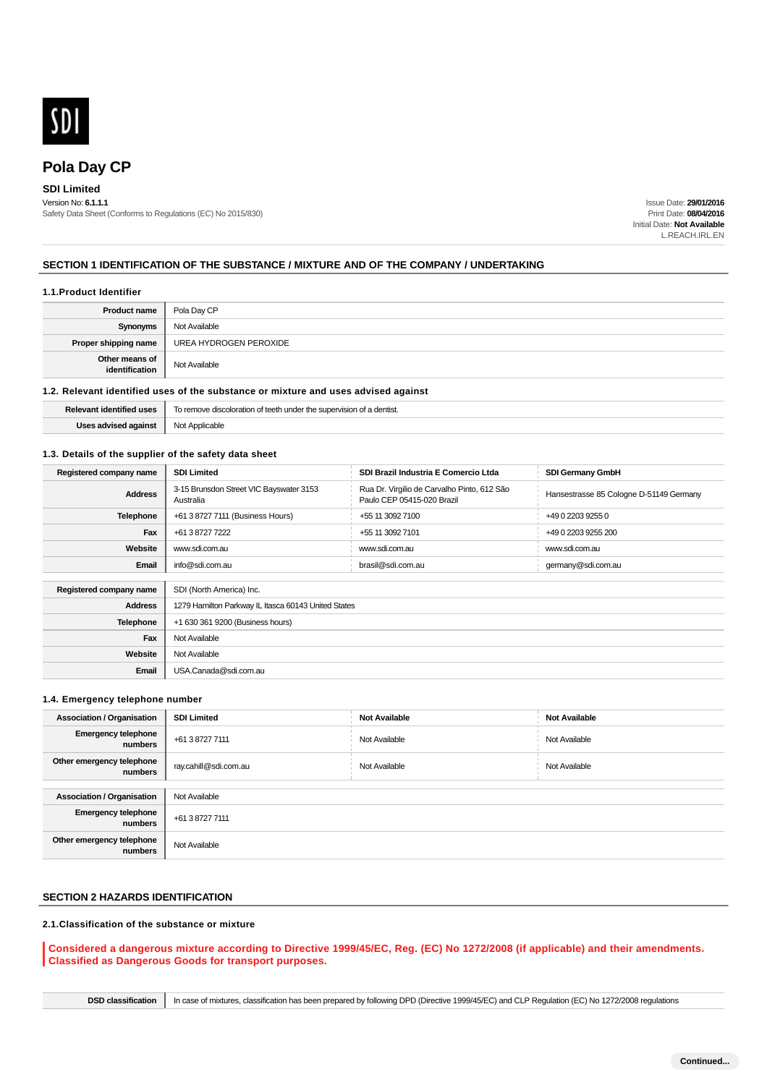

# **Pola Day CP**

## **SDI Limited**

Version No: **6.1.1.1** Safety Data Sheet (Conforms to Regulations (EC) No 2015/830)

Issue Date: **29/01/2016** Print Date: **08/04/2016** Initial Date: **Not Available** L.REACH.IRL.EN

### **SECTION 1 IDENTIFICATION OF THE SUBSTANCE / MIXTURE AND OF THE COMPANY / UNDERTAKING**

#### **1.1.Product Identifier**

| <b>Product name</b>              | Pola Day CP            |
|----------------------------------|------------------------|
| Synonyms                         | Not Available          |
| Proper shipping name             | UREA HYDROGEN PEROXIDE |
| Other means of<br>identification | Not Available          |

#### **1.2. Relevant identified uses of the substance or mixture and uses advised against**

| entified uses        | h under the supervision of a dentist. |  |  |
|----------------------|---------------------------------------|--|--|
| <b>Palovant</b>      | To remove discoloration of teeth      |  |  |
| Uses advised against | Not Applicable                        |  |  |

### **1.3. Details of the supplier of the safety data sheet**

| Registered company name | <b>SDI Limited</b>                                   | SDI Brazil Industria E Comercio Ltda                                      | <b>SDI Germany GmbH</b>                 |  |  |
|-------------------------|------------------------------------------------------|---------------------------------------------------------------------------|-----------------------------------------|--|--|
| <b>Address</b>          | 3-15 Brunsdon Street VIC Bayswater 3153<br>Australia | Rua Dr. Virgilio de Carvalho Pinto, 612 São<br>Paulo CEP 05415-020 Brazil | Hansestrasse 85 Cologne D-51149 Germany |  |  |
| Telephone               | +61 3 8727 7111 (Business Hours)                     | +55 11 3092 7100                                                          | +49 0 2203 9255 0                       |  |  |
| Fax                     | +61 3 8727 7222                                      | +55 11 3092 7101                                                          | +49 0 2203 9255 200                     |  |  |
| Website                 | www.sdi.com.au                                       | www.sdi.com.au                                                            | www.sdi.com.au                          |  |  |
| Email                   | info@sdi.com.au                                      | brasil@sdi.com.au                                                         | germany@sdi.com.au                      |  |  |
|                         |                                                      |                                                                           |                                         |  |  |
| Registered company name | SDI (North America) Inc.                             |                                                                           |                                         |  |  |
| <b>Address</b>          | 1279 Hamilton Parkway IL Itasca 60143 United States  |                                                                           |                                         |  |  |
| Telephone               | +1 630 361 9200 (Business hours)                     |                                                                           |                                         |  |  |
| Fax                     | Not Available                                        |                                                                           |                                         |  |  |
| Website                 | Not Available                                        |                                                                           |                                         |  |  |
| Email                   | USA.Canada@sdi.com.au                                |                                                                           |                                         |  |  |

### **1.4. Emergency telephone number**

| <b>Association / Organisation</b>     | <b>SDI Limited</b>    | <b>Not Available</b> | <b>Not Available</b> |  |  |
|---------------------------------------|-----------------------|----------------------|----------------------|--|--|
| <b>Emergency telephone</b><br>numbers | +61 3 8727 7111       | Not Available        | Not Available        |  |  |
| Other emergency telephone<br>numbers  | ray.cahill@sdi.com.au | Not Available        | Not Available        |  |  |
|                                       |                       |                      |                      |  |  |
| <b>Association / Organisation</b>     | Not Available         |                      |                      |  |  |
| <b>Emergency telephone</b><br>numbers | +61 3 8727 7111       |                      |                      |  |  |
| Other emergency telephone<br>numbers  | Not Available         |                      |                      |  |  |

# **SECTION 2 HAZARDS IDENTIFICATION**

### **2.1.Classification of the substance or mixture**

**Considered a dangerous mixture according to Directive 1999/45/EC, Reg. (EC) No 1272/2008 (if applicable) and their amendments. Classified as Dangerous Goods for transport purposes.**

**DSD classification** In case of mixtures, classification has been prepared by following DPD (Directive 1999/45/EC) and CLP Regulation (EC) No 1272/2008 regulations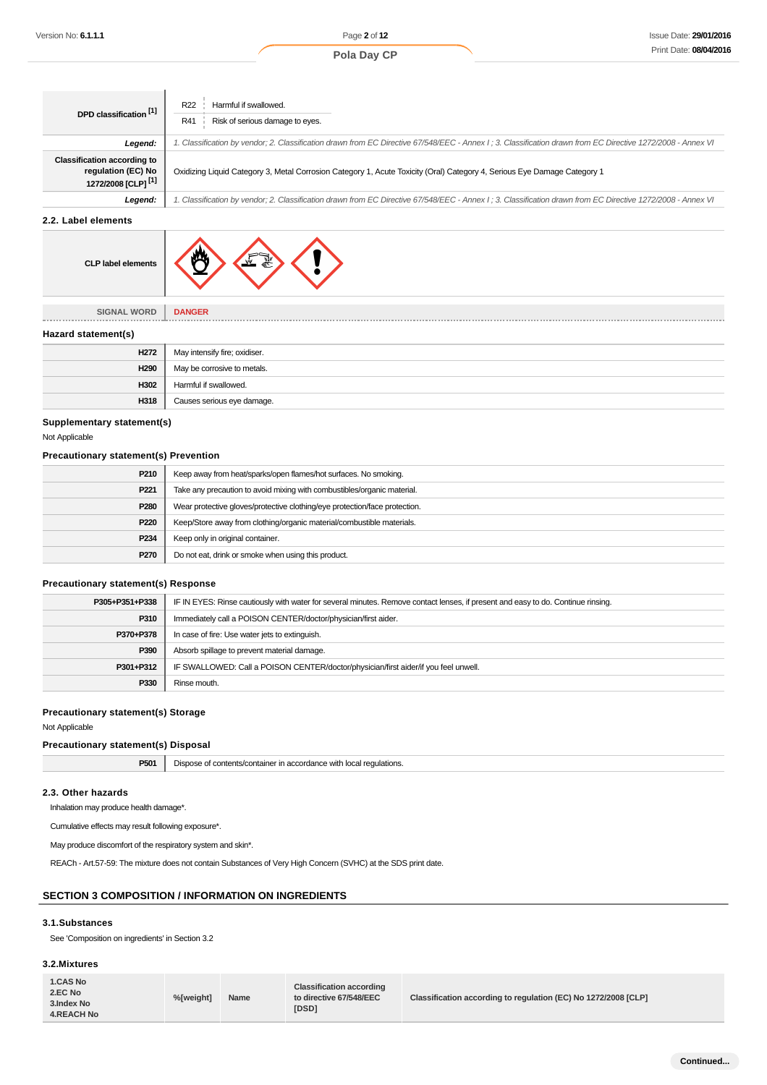| Version No: <b>6.1.1.1</b>                                  |                                                                                                                                  |                                                     | Page 2 of 12                                                                                                  |  | <b>Issue Date: 29/01/20</b>                                                                                                                                 |
|-------------------------------------------------------------|----------------------------------------------------------------------------------------------------------------------------------|-----------------------------------------------------|---------------------------------------------------------------------------------------------------------------|--|-------------------------------------------------------------------------------------------------------------------------------------------------------------|
|                                                             |                                                                                                                                  |                                                     | Pola Day CP                                                                                                   |  | Print Date: 08/04/20                                                                                                                                        |
|                                                             |                                                                                                                                  |                                                     |                                                                                                               |  |                                                                                                                                                             |
|                                                             |                                                                                                                                  |                                                     |                                                                                                               |  |                                                                                                                                                             |
|                                                             | R <sub>22</sub>                                                                                                                  | Harmful if swallowed.                               |                                                                                                               |  |                                                                                                                                                             |
| DPD classification [1]                                      | R41                                                                                                                              | Risk of serious damage to eyes.                     |                                                                                                               |  |                                                                                                                                                             |
|                                                             |                                                                                                                                  |                                                     |                                                                                                               |  |                                                                                                                                                             |
| Legend:                                                     |                                                                                                                                  |                                                     |                                                                                                               |  | 1. Classification by vendor; 2. Classification drawn from EC Directive 67/548/EEC - Annex I; 3. Classification drawn from EC Directive 1272/2008 - Annex VI |
| <b>Classification according to</b><br>regulation (EC) No    |                                                                                                                                  |                                                     |                                                                                                               |  |                                                                                                                                                             |
| 1272/2008 [CLP] <sup>[1]</sup>                              | Oxidizing Liquid Category 3, Metal Corrosion Category 1, Acute Toxicity (Oral) Category 4, Serious Eye Damage Category 1         |                                                     |                                                                                                               |  |                                                                                                                                                             |
| Legend:                                                     |                                                                                                                                  |                                                     |                                                                                                               |  | 1. Classification by vendor; 2. Classification drawn from EC Directive 67/548/EEC - Annex I; 3. Classification drawn from EC Directive 1272/2008 - Annex VI |
| 2.2. Label elements                                         |                                                                                                                                  |                                                     |                                                                                                               |  |                                                                                                                                                             |
|                                                             |                                                                                                                                  |                                                     |                                                                                                               |  |                                                                                                                                                             |
|                                                             |                                                                                                                                  |                                                     |                                                                                                               |  |                                                                                                                                                             |
| <b>CLP label elements</b>                                   |                                                                                                                                  |                                                     |                                                                                                               |  |                                                                                                                                                             |
|                                                             |                                                                                                                                  |                                                     |                                                                                                               |  |                                                                                                                                                             |
|                                                             |                                                                                                                                  |                                                     |                                                                                                               |  |                                                                                                                                                             |
| <b>SIGNAL WORD</b>                                          | <b>DANGER</b>                                                                                                                    |                                                     |                                                                                                               |  |                                                                                                                                                             |
| Hazard statement(s)                                         |                                                                                                                                  |                                                     |                                                                                                               |  |                                                                                                                                                             |
|                                                             |                                                                                                                                  |                                                     |                                                                                                               |  |                                                                                                                                                             |
| H272<br>H <sub>290</sub>                                    | May intensify fire; oxidiser.                                                                                                    |                                                     |                                                                                                               |  |                                                                                                                                                             |
| H302                                                        | May be corrosive to metals.                                                                                                      |                                                     |                                                                                                               |  |                                                                                                                                                             |
|                                                             | Harmful if swallowed.                                                                                                            |                                                     |                                                                                                               |  |                                                                                                                                                             |
| H318                                                        |                                                                                                                                  | Causes serious eye damage.                          |                                                                                                               |  |                                                                                                                                                             |
| Supplementary statement(s)                                  |                                                                                                                                  |                                                     |                                                                                                               |  |                                                                                                                                                             |
| Not Applicable                                              |                                                                                                                                  |                                                     |                                                                                                               |  |                                                                                                                                                             |
| <b>Precautionary statement(s) Prevention</b>                |                                                                                                                                  |                                                     |                                                                                                               |  |                                                                                                                                                             |
| P210                                                        |                                                                                                                                  |                                                     | Keep away from heat/sparks/open flames/hot surfaces. No smoking.                                              |  |                                                                                                                                                             |
| P221                                                        |                                                                                                                                  |                                                     | Take any precaution to avoid mixing with combustibles/organic material.                                       |  |                                                                                                                                                             |
| P280                                                        | Wear protective gloves/protective clothing/eye protection/face protection.                                                       |                                                     |                                                                                                               |  |                                                                                                                                                             |
| P220                                                        | Keep/Store away from clothing/organic material/combustible materials.                                                            |                                                     |                                                                                                               |  |                                                                                                                                                             |
| P234                                                        | Keep only in original container.                                                                                                 |                                                     |                                                                                                               |  |                                                                                                                                                             |
| P270                                                        |                                                                                                                                  | Do not eat, drink or smoke when using this product. |                                                                                                               |  |                                                                                                                                                             |
|                                                             |                                                                                                                                  |                                                     |                                                                                                               |  |                                                                                                                                                             |
| <b>Precautionary statement(s) Response</b>                  |                                                                                                                                  |                                                     |                                                                                                               |  |                                                                                                                                                             |
| P305+P351+P338                                              | IF IN EYES: Rinse cautiously with water for several minutes. Remove contact lenses, if present and easy to do. Continue rinsing. |                                                     |                                                                                                               |  |                                                                                                                                                             |
| P310                                                        | Immediately call a POISON CENTER/doctor/physician/first aider.                                                                   |                                                     |                                                                                                               |  |                                                                                                                                                             |
| P370+P378                                                   | In case of fire: Use water jets to extinguish.                                                                                   |                                                     |                                                                                                               |  |                                                                                                                                                             |
| P390                                                        |                                                                                                                                  | Absorb spillage to prevent material damage.         |                                                                                                               |  |                                                                                                                                                             |
| P301+P312                                                   | IF SWALLOWED: Call a POISON CENTER/doctor/physician/first aider/if you feel unwell.                                              |                                                     |                                                                                                               |  |                                                                                                                                                             |
| P330                                                        | Rinse mouth.                                                                                                                     |                                                     |                                                                                                               |  |                                                                                                                                                             |
| <b>Precautionary statement(s) Storage</b>                   |                                                                                                                                  |                                                     |                                                                                                               |  |                                                                                                                                                             |
| Not Applicable                                              |                                                                                                                                  |                                                     |                                                                                                               |  |                                                                                                                                                             |
| <b>Precautionary statement(s) Disposal</b>                  |                                                                                                                                  |                                                     |                                                                                                               |  |                                                                                                                                                             |
| P501                                                        |                                                                                                                                  |                                                     | Dispose of contents/container in accordance with local regulations.                                           |  |                                                                                                                                                             |
|                                                             |                                                                                                                                  |                                                     |                                                                                                               |  |                                                                                                                                                             |
| 2.3. Other hazards                                          |                                                                                                                                  |                                                     |                                                                                                               |  |                                                                                                                                                             |
| Inhalation may produce health damage*.                      |                                                                                                                                  |                                                     |                                                                                                               |  |                                                                                                                                                             |
| Cumulative effects may result following exposure*.          |                                                                                                                                  |                                                     |                                                                                                               |  |                                                                                                                                                             |
| May produce discomfort of the respiratory system and skin*. |                                                                                                                                  |                                                     |                                                                                                               |  |                                                                                                                                                             |
|                                                             |                                                                                                                                  |                                                     | REACh - Art.57-59: The mixture does not contain Substances of Very High Concern (SVHC) at the SDS print date. |  |                                                                                                                                                             |
|                                                             |                                                                                                                                  |                                                     |                                                                                                               |  |                                                                                                                                                             |
| <b>SECTION 3 COMPOSITION / INFORMATION ON INGREDIENTS</b>   |                                                                                                                                  |                                                     |                                                                                                               |  |                                                                                                                                                             |
|                                                             |                                                                                                                                  |                                                     |                                                                                                               |  |                                                                                                                                                             |
| 3.1.Substances                                              |                                                                                                                                  |                                                     |                                                                                                               |  |                                                                                                                                                             |
| See 'Composition on ingredients' in Section 3.2             |                                                                                                                                  |                                                     |                                                                                                               |  |                                                                                                                                                             |
| 3.2.Mixtures                                                |                                                                                                                                  |                                                     |                                                                                                               |  |                                                                                                                                                             |
|                                                             |                                                                                                                                  |                                                     |                                                                                                               |  |                                                                                                                                                             |
| 1.CAS No<br>2.EC No                                         | %[weight]                                                                                                                        | Name                                                | <b>Classification according</b><br>to directive 67/548/EEC                                                    |  | Classification according to regulation (EC) No 1272/2008 [CLP]                                                                                              |
|                                                             |                                                                                                                                  |                                                     |                                                                                                               |  |                                                                                                                                                             |



| H <sub>272</sub> | May intensify fire; oxidiser. |
|------------------|-------------------------------|
| H <sub>290</sub> | May be corrosive to metals.   |
| H302             | Harmful if swallowed.         |
| H318             | Causes serious eye damage.    |

### **Supplementary statement(s)**

### **Precautionary statement(s) Prevention**

| P210             | Keep away from heat/sparks/open flames/hot surfaces. No smoking.           |  |  |
|------------------|----------------------------------------------------------------------------|--|--|
| P <sub>221</sub> | Take any precaution to avoid mixing with combustibles/organic material.    |  |  |
| P <sub>280</sub> | Wear protective gloves/protective clothing/eye protection/face protection. |  |  |
| P220             | Keep/Store away from clothing/organic material/combustible materials.      |  |  |
| P234             | Keep only in original container.                                           |  |  |
| P270             | Do not eat, drink or smoke when using this product.                        |  |  |

### **Precautionary statement(s) Response**

| P305+P351+P338 | IF IN EYES: Rinse cautiously with water for several minutes. Remove contact lenses, if present and easy to do. Continue rinsing. |  |  |
|----------------|----------------------------------------------------------------------------------------------------------------------------------|--|--|
| P310           | Immediately call a POISON CENTER/doctor/physician/first aider.                                                                   |  |  |
| P370+P378      | In case of fire: Use water jets to extinguish.                                                                                   |  |  |
| P390           | Absorb spillage to prevent material damage.                                                                                      |  |  |
| P301+P312      | IF SWALLOWED: Call a POISON CENTER/doctor/physician/first aider/if you feel unwell.                                              |  |  |
| P330           | Rinse mouth.                                                                                                                     |  |  |

### **Precautionary statement(s) Storage**

### **Precautionary statement(s) Disposal**

| P501 | Dispose of contents/container in accordance with local regulations.<br>. . |
|------|----------------------------------------------------------------------------|
|------|----------------------------------------------------------------------------|

#### **2.3. Other hazards**

### **SECTION 3 COMPOSITION / INFORMATION ON INGREDIENTS**

### **3.1.Substances**

### **3.2.Mixtures**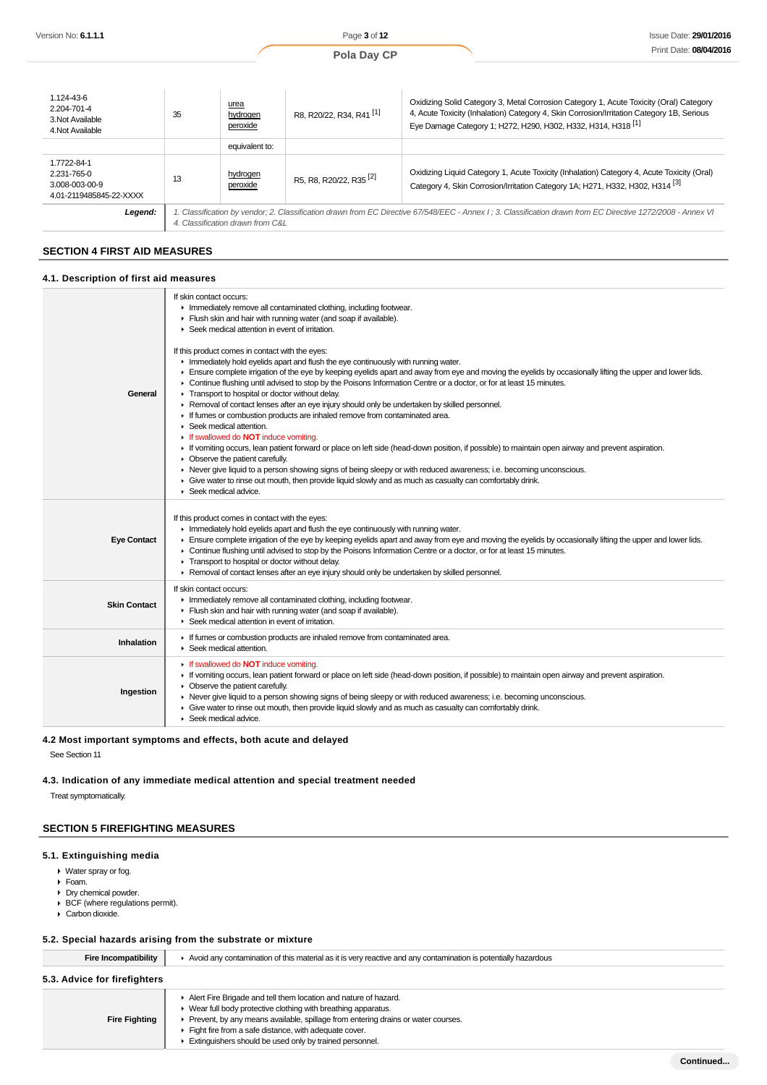| Pola Dav |  |  |
|----------|--|--|
|----------|--|--|

| 1.124-43-6<br>2.204-701-4<br>3. Not Available<br>4. Not Available       | 35                                                                                                                                                                                              | urea<br>hydrogen<br>peroxide | R8, R20/22, R34, R41 <sup>[1]</sup> | Oxidizing Solid Category 3, Metal Corrosion Category 1, Acute Toxicity (Oral) Category<br>4, Acute Toxicity (Inhalation) Category 4, Skin Corrosion/Irritation Category 1B. Serious<br>Eye Damage Category 1; H272, H290, H302, H332, H314, H318 <sup>[1]</sup> |  |
|-------------------------------------------------------------------------|-------------------------------------------------------------------------------------------------------------------------------------------------------------------------------------------------|------------------------------|-------------------------------------|-----------------------------------------------------------------------------------------------------------------------------------------------------------------------------------------------------------------------------------------------------------------|--|
|                                                                         |                                                                                                                                                                                                 | equivalent to:               |                                     |                                                                                                                                                                                                                                                                 |  |
| 1.7722-84-1<br>2.231-765-0<br>3.008-003-00-9<br>4.01-2119485845-22-XXXX | 13                                                                                                                                                                                              | hydrogen<br>peroxide         | R5, R8, R20/22. R35 <sup>[2]</sup>  | Oxidizing Liquid Category 1, Acute Toxicity (Inhalation) Category 4, Acute Toxicity (Oral)<br>Category 4, Skin Corrosion/Irritation Category 1A; H271, H332, H302, H314 <sup>[3]</sup>                                                                          |  |
| Legend:                                                                 | 1. Classification by vendor; 2. Classification drawn from EC Directive 67/548/EEC - Annex I; 3. Classification drawn from EC Directive 1272/2008 - Annex VI<br>4. Classification drawn from C&L |                              |                                     |                                                                                                                                                                                                                                                                 |  |

# **SECTION 4 FIRST AID MEASURES**

### **4.1. Description of first aid measures**

| General             | If skin contact occurs:<br>Inmediately remove all contaminated clothing, including footwear.<br>Flush skin and hair with running water (and soap if available).<br>▶ Seek medical attention in event of irritation.<br>If this product comes in contact with the eyes:<br>Inmediately hold eyelids apart and flush the eye continuously with running water.<br>F Ensure complete irrigation of the eye by keeping eyelids apart and away from eye and moving the eyelids by occasionally lifting the upper and lower lids.<br>► Continue flushing until advised to stop by the Poisons Information Centre or a doctor, or for at least 15 minutes.<br>Transport to hospital or doctor without delay.<br>Removal of contact lenses after an eye injury should only be undertaken by skilled personnel.<br>If fumes or combustion products are inhaled remove from contaminated area.<br>$\triangleright$ Seek medical attention.<br>If swallowed do NOT induce vomiting.<br>If vomiting occurs, lean patient forward or place on left side (head-down position, if possible) to maintain open airway and prevent aspiration.<br>$\triangleright$ Observe the patient carefully.<br>► Never give liquid to a person showing signs of being sleepy or with reduced awareness; i.e. becoming unconscious.<br>• Give water to rinse out mouth, then provide liquid slowly and as much as casualty can comfortably drink.<br>$\blacktriangleright$ Seek medical advice. |
|---------------------|-------------------------------------------------------------------------------------------------------------------------------------------------------------------------------------------------------------------------------------------------------------------------------------------------------------------------------------------------------------------------------------------------------------------------------------------------------------------------------------------------------------------------------------------------------------------------------------------------------------------------------------------------------------------------------------------------------------------------------------------------------------------------------------------------------------------------------------------------------------------------------------------------------------------------------------------------------------------------------------------------------------------------------------------------------------------------------------------------------------------------------------------------------------------------------------------------------------------------------------------------------------------------------------------------------------------------------------------------------------------------------------------------------------------------------------------------------------------|
| <b>Eye Contact</b>  | If this product comes in contact with the eyes:<br>Inmediately hold eyelids apart and flush the eye continuously with running water.<br>F Ensure complete irrigation of the eye by keeping eyelids apart and away from eye and moving the eyelids by occasionally lifting the upper and lower lids.<br>Continue flushing until advised to stop by the Poisons Information Centre or a doctor, or for at least 15 minutes.<br>Transport to hospital or doctor without delay.<br>► Removal of contact lenses after an eye injury should only be undertaken by skilled personnel.                                                                                                                                                                                                                                                                                                                                                                                                                                                                                                                                                                                                                                                                                                                                                                                                                                                                                    |
| <b>Skin Contact</b> | If skin contact occurs:<br>Inmediately remove all contaminated clothing, including footwear.<br>Flush skin and hair with running water (and soap if available).<br>▶ Seek medical attention in event of irritation.                                                                                                                                                                                                                                                                                                                                                                                                                                                                                                                                                                                                                                                                                                                                                                                                                                                                                                                                                                                                                                                                                                                                                                                                                                               |
| Inhalation          | If fumes or combustion products are inhaled remove from contaminated area.<br>▶ Seek medical attention.                                                                                                                                                                                                                                                                                                                                                                                                                                                                                                                                                                                                                                                                                                                                                                                                                                                                                                                                                                                                                                                                                                                                                                                                                                                                                                                                                           |
| Ingestion           | If swallowed do <b>NOT</b> induce vomiting.<br>If vomiting occurs, lean patient forward or place on left side (head-down position, if possible) to maintain open airway and prevent aspiration.<br>• Observe the patient carefully.<br>► Never give liquid to a person showing signs of being sleepy or with reduced awareness; i.e. becoming unconscious.<br>• Give water to rinse out mouth, then provide liquid slowly and as much as casualty can comfortably drink.<br>Seek medical advice.                                                                                                                                                                                                                                                                                                                                                                                                                                                                                                                                                                                                                                                                                                                                                                                                                                                                                                                                                                  |
|                     |                                                                                                                                                                                                                                                                                                                                                                                                                                                                                                                                                                                                                                                                                                                                                                                                                                                                                                                                                                                                                                                                                                                                                                                                                                                                                                                                                                                                                                                                   |

# **4.2 Most important symptoms and effects, both acute and delayed**

See Section 11

### **4.3. Indication of any immediate medical attention and special treatment needed**

Treat symptomatically.

# **SECTION 5 FIREFIGHTING MEASURES**

# **5.1. Extinguishing media**

- Water spray or fog.
- Foam.
- Dry chemical powder.
- BCF (where regulations permit). Carbon dioxide.
- 

# **5.2. Special hazards arising from the substrate or mixture**

J

| Fire Incompatibility         | ► Avoid any contamination of this material as it is very reactive and any contamination is potentially hazardous |  |
|------------------------------|------------------------------------------------------------------------------------------------------------------|--|
| 5.3. Advice for firefighters |                                                                                                                  |  |
|                              | Alert Fire Brigade and tell them location and nature of hazard.                                                  |  |
|                              | • Wear full body protective clothing with breathing apparatus.                                                   |  |
| <b>Fire Fighting</b>         | ▶ Prevent, by any means available, spillage from entering drains or water courses.                               |  |
|                              | Fight fire from a safe distance, with adequate cover.                                                            |  |

Extinguishers should be used only by trained personnel.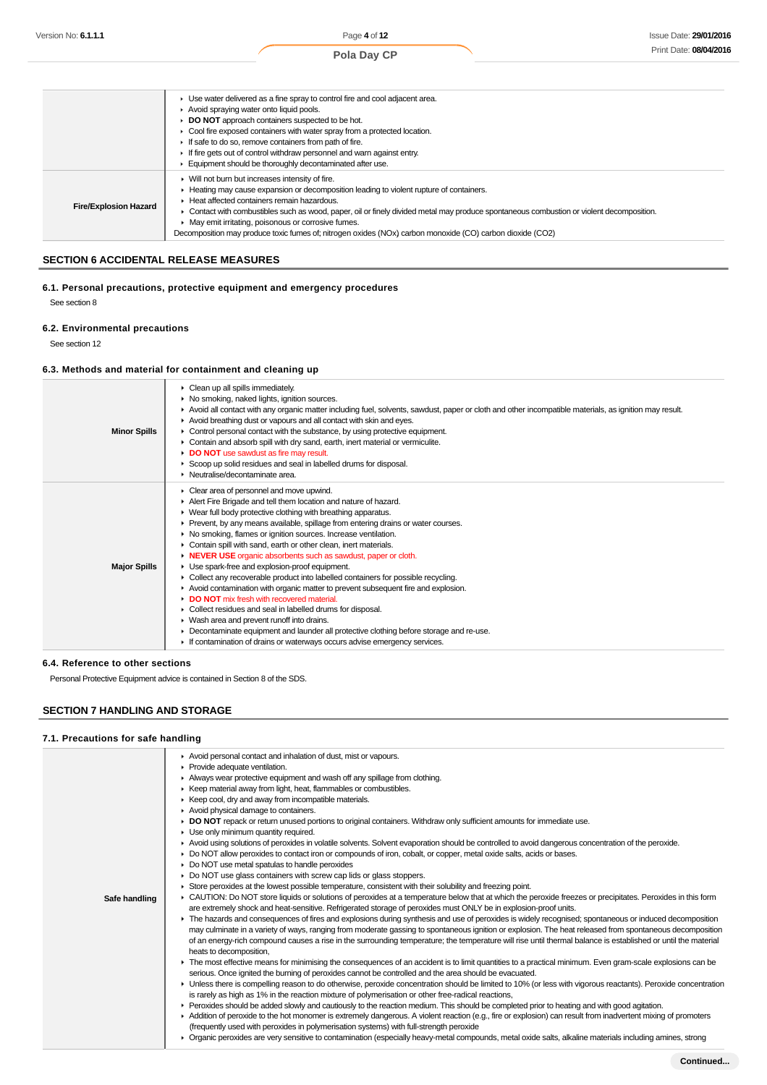|                              | ► Use water delivered as a fine spray to control fire and cool adjacent area.                                                           |
|------------------------------|-----------------------------------------------------------------------------------------------------------------------------------------|
|                              | Avoid spraying water onto liquid pools.                                                                                                 |
|                              | ▶ DO NOT approach containers suspected to be hot.                                                                                       |
|                              | • Cool fire exposed containers with water spray from a protected location.                                                              |
|                              | If safe to do so, remove containers from path of fire.                                                                                  |
|                              | If fire gets out of control withdraw personnel and warn against entry.                                                                  |
|                              | Equipment should be thoroughly decontaminated after use.                                                                                |
|                              | ▶ Will not burn but increases intensity of fire.                                                                                        |
|                              | Heating may cause expansion or decomposition leading to violent rupture of containers.                                                  |
|                              | Heat affected containers remain hazardous.                                                                                              |
| <b>Fire/Explosion Hazard</b> | Contact with combustibles such as wood, paper, oil or finely divided metal may produce spontaneous combustion or violent decomposition. |
|                              | • May emit irritating, poisonous or corrosive fumes.                                                                                    |
|                              | Decomposition may produce toxic fumes of: nitrogen oxides (NOx) carbon monoxide (CO) carbon dioxide (CO2)                               |
|                              |                                                                                                                                         |

# **SECTION 6 ACCIDENTAL RELEASE MEASURES**

# **6.1. Personal precautions, protective equipment and emergency procedures**

See section 8

### **6.2. Environmental precautions**

See section 12

# **6.3. Methods and material for containment and cleaning up**

| <b>Minor Spills</b> | $\triangleright$ Clean up all spills immediately.<br>• No smoking, naked lights, ignition sources.<br>▶ Avoid all contact with any organic matter including fuel, solvents, sawdust, paper or cloth and other incompatible materials, as ignition may result.<br>Avoid breathing dust or vapours and all contact with skin and eyes.<br>$\triangleright$ Control personal contact with the substance, by using protective equipment.<br>Contain and absorb spill with dry sand, earth, inert material or vermiculite.<br>DO NOT use sawdust as fire may result.<br>Scoop up solid residues and seal in labelled drums for disposal.<br>• Neutralise/decontaminate area.                                                                                                                                                                                                                                                                                                                                                                                 |
|---------------------|---------------------------------------------------------------------------------------------------------------------------------------------------------------------------------------------------------------------------------------------------------------------------------------------------------------------------------------------------------------------------------------------------------------------------------------------------------------------------------------------------------------------------------------------------------------------------------------------------------------------------------------------------------------------------------------------------------------------------------------------------------------------------------------------------------------------------------------------------------------------------------------------------------------------------------------------------------------------------------------------------------------------------------------------------------|
| <b>Major Spills</b> | Clear area of personnel and move upwind.<br>Alert Fire Brigade and tell them location and nature of hazard.<br>Wear full body protective clothing with breathing apparatus.<br>► Prevent, by any means available, spillage from entering drains or water courses.<br>• No smoking, flames or ignition sources. Increase ventilation.<br>Contain spill with sand, earth or other clean, inert materials.<br>• NEVER USE organic absorbents such as sawdust, paper or cloth.<br>Use spark-free and explosion-proof equipment.<br>$\triangleright$ Collect any recoverable product into labelled containers for possible recycling.<br>Avoid contamination with organic matter to prevent subsequent fire and explosion.<br>DO NOT mix fresh with recovered material.<br>• Collect residues and seal in labelled drums for disposal.<br>▶ Wash area and prevent runoff into drains.<br>Decontaminate equipment and launder all protective clothing before storage and re-use.<br>If contamination of drains or waterways occurs advise emergency services. |

#### **6.4. Reference to other sections**

Personal Protective Equipment advice is contained in Section 8 of the SDS.

# **SECTION 7 HANDLING AND STORAGE**

#### **7.1. Precautions for safe handling**

| Avoid personal contact and inhalation of dust, mist or vapours.<br>Provide adequate ventilation.<br>Always wear protective equipment and wash off any spillage from clothing.<br>▶ Keep material away from light, heat, flammables or combustibles.<br>► Keep cool, dry and away from incompatible materials.<br>Avoid physical damage to containers.<br>▶ DO NOT repack or return unused portions to original containers. Withdraw only sufficient amounts for immediate use.<br>• Use only minimum quantity required.<br>Avoid using solutions of peroxides in volatile solvents. Solvent evaporation should be controlled to avoid dangerous concentration of the peroxide.<br>▶ Do NOT allow peroxides to contact iron or compounds of iron, cobalt, or copper, metal oxide salts, acids or bases.<br>• Do NOT use metal spatulas to handle peroxides<br>• Do NOT use glass containers with screw cap lids or glass stoppers.<br>► Store peroxides at the lowest possible temperature, consistent with their solubility and freezing point.<br>▶ CAUTION: Do NOT store liquids or solutions of peroxides at a temperature below that at which the peroxide freezes or precipitates. Peroxides in this form<br>Safe handling<br>are extremely shock and heat-sensitive. Refrigerated storage of peroxides must ONLY be in explosion-proof units.<br>• The hazards and consequences of fires and explosions during synthesis and use of peroxides is widely recognised; spontaneous or induced decomposition<br>may culminate in a variety of ways, ranging from moderate gassing to spontaneous ignition or explosion. The heat released from spontaneous decomposition<br>of an energy-rich compound causes a rise in the surrounding temperature; the temperature will rise until thermal balance is established or until the material<br>heats to decomposition,<br>F The most effective means for minimising the consequences of an accident is to limit quantities to a practical minimum. Even gram-scale explosions can be<br>serious. Once ignited the burning of peroxides cannot be controlled and the area should be evacuated.<br>• Unless there is compelling reason to do otherwise, peroxide concentration should be limited to 10% (or less with vigorous reactants). Peroxide concentration<br>is rarely as high as 1% in the reaction mixture of polymerisation or other free-radical reactions,<br>► Peroxides should be added slowly and cautiously to the reaction medium. This should be completed prior to heating and with good agitation.<br>Addition of peroxide to the hot monomer is extremely dangerous. A violent reaction (e.g., fire or explosion) can result from inadvertent mixing of promoters<br>(frequently used with peroxides in polymerisation systems) with full-strength peroxide |  |
|---------------------------------------------------------------------------------------------------------------------------------------------------------------------------------------------------------------------------------------------------------------------------------------------------------------------------------------------------------------------------------------------------------------------------------------------------------------------------------------------------------------------------------------------------------------------------------------------------------------------------------------------------------------------------------------------------------------------------------------------------------------------------------------------------------------------------------------------------------------------------------------------------------------------------------------------------------------------------------------------------------------------------------------------------------------------------------------------------------------------------------------------------------------------------------------------------------------------------------------------------------------------------------------------------------------------------------------------------------------------------------------------------------------------------------------------------------------------------------------------------------------------------------------------------------------------------------------------------------------------------------------------------------------------------------------------------------------------------------------------------------------------------------------------------------------------------------------------------------------------------------------------------------------------------------------------------------------------------------------------------------------------------------------------------------------------------------------------------------------------------------------------------------------------------------------------------------------------------------------------------------------------------------------------------------------------------------------------------------------------------------------------------------------------------------------------------------------------------------------------------------------------------------------------------------------------------------------------------------------------------------------------------------------------------------------------------------------------------------------------------------------------------------------------------------------------------------|--|
| ▶ Organic peroxides are very sensitive to contamination (especially heavy-metal compounds, metal oxide salts, alkaline materials including amines, strong                                                                                                                                                                                                                                                                                                                                                                                                                                                                                                                                                                                                                                                                                                                                                                                                                                                                                                                                                                                                                                                                                                                                                                                                                                                                                                                                                                                                                                                                                                                                                                                                                                                                                                                                                                                                                                                                                                                                                                                                                                                                                                                                                                                                                                                                                                                                                                                                                                                                                                                                                                                                                                                                       |  |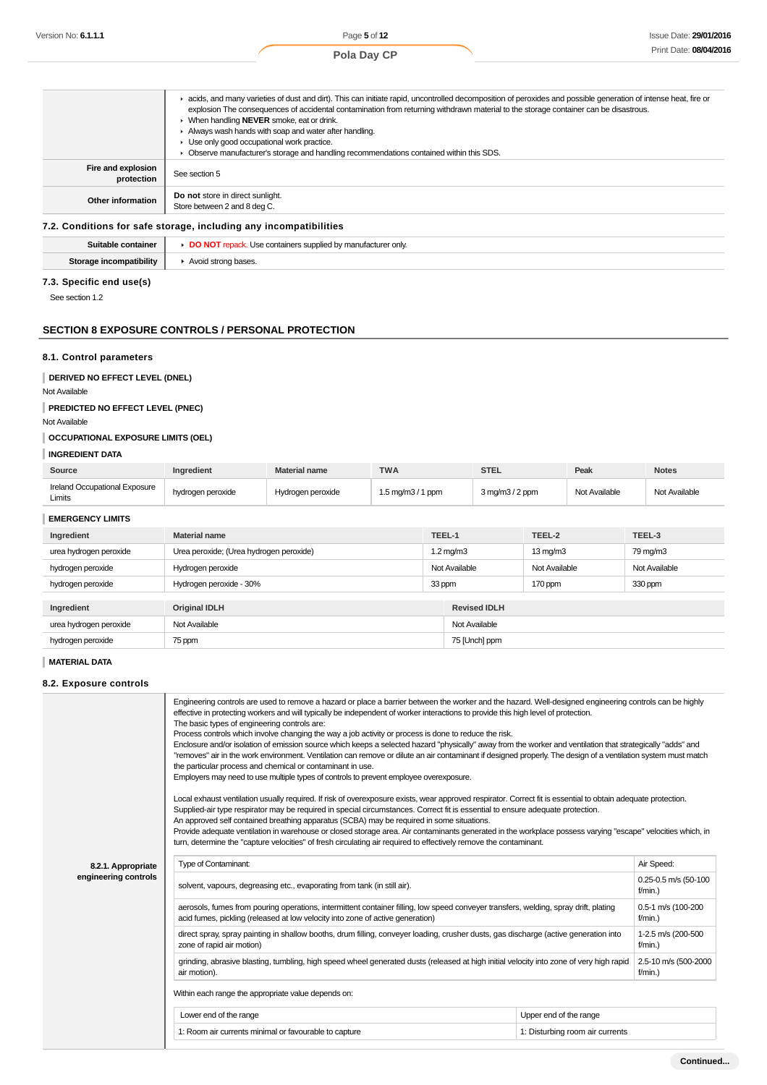|                                  | E acids, and many varieties of dust and dirt). This can initiate rapid, uncontrolled decomposition of peroxides and possible generation of intense heat, fire or<br>explosion The consequences of accidental contamination from returning withdrawn material to the storage container can be disastrous.<br>▶ When handling NEVER smoke, eat or drink.<br>Always wash hands with soap and water after handling.<br>Use only good occupational work practice.<br>Observe manufacturer's storage and handling recommendations contained within this SDS. |
|----------------------------------|--------------------------------------------------------------------------------------------------------------------------------------------------------------------------------------------------------------------------------------------------------------------------------------------------------------------------------------------------------------------------------------------------------------------------------------------------------------------------------------------------------------------------------------------------------|
| Fire and explosion<br>protection | See section 5                                                                                                                                                                                                                                                                                                                                                                                                                                                                                                                                          |
| Other information                | Do not store in direct sunlight.<br>Store between 2 and 8 deg C.                                                                                                                                                                                                                                                                                                                                                                                                                                                                                       |

### **7.2. Conditions for safe storage, including any incompatibilities**

| Suitable container             | <b>DO NOT</b> repack. Use containers supplied by manufacturer only |
|--------------------------------|--------------------------------------------------------------------|
| <b>Storage incompatibility</b> | ▶ Avoid strong bases.                                              |
| 7.3. Specific end use(s)       |                                                                    |

See section 1.2

### **SECTION 8 EXPOSURE CONTROLS / PERSONAL PROTECTION**

### **8.1. Control parameters**

**DERIVED NO EFFECT LEVEL (DNEL)**

Not Available

**PREDICTED NO EFFECT LEVEL (PNEC)**

Not Available

# **OCCUPATIONAL EXPOSURE LIMITS (OEL)**

## **INGREDIENT DATA**

| Source                                  | <b>Ingredient</b> | <b>Material name</b> | <b>TWA</b>                          | STEL                               | Peak          | <b>Notes</b>  |
|-----------------------------------------|-------------------|----------------------|-------------------------------------|------------------------------------|---------------|---------------|
| Ireland Occupational Exposure<br>Limits | hydrogen peroxide | Hydrogen peroxide    | $1.5 \text{ mg/m}3 / 1 \text{ ppm}$ | $3 \text{ mg/m}$ $3/2 \text{ ppm}$ | Not Available | Not Available |

| <b>EMERGENCY LIMITS</b> |  |
|-------------------------|--|
|-------------------------|--|

| <b>EMERGENCY LIMITS</b> |                                         |                     |                     |                      |               |
|-------------------------|-----------------------------------------|---------------------|---------------------|----------------------|---------------|
| Ingredient              | <b>Material name</b>                    | TEEL-1              |                     | TEEL-2               | TEEL-3        |
| urea hydrogen peroxide  | Urea peroxide; (Urea hydrogen peroxide) | $1.2 \text{ mg/m}3$ |                     | $13 \,\mathrm{mg/m}$ | 79 mg/m3      |
| hydrogen peroxide       | Hydrogen peroxide                       | Not Available       |                     | Not Available        | Not Available |
| hydrogen peroxide       | Hydrogen peroxide - 30%                 | 33 ppm              |                     | 170 ppm              | 330 ppm       |
|                         |                                         |                     |                     |                      |               |
| Ingredient              | <b>Original IDLH</b>                    |                     | <b>Revised IDLH</b> |                      |               |
| urea hydrogen peroxide  | Not Available                           |                     | Not Available       |                      |               |
| hydrogen peroxide       | 75 ppm                                  | 75 [Unch] ppm       |                     |                      |               |

**MATERIAL DATA**

### **8.2. Exposure controls**

|                      | Engineering controls are used to remove a hazard or place a barrier between the worker and the hazard. Well-designed engineering controls can be highly<br>effective in protecting workers and will typically be independent of worker interactions to provide this high level of protection.<br>The basic types of engineering controls are:<br>Process controls which involve changing the way a job activity or process is done to reduce the risk.<br>Enclosure and/or isolation of emission source which keeps a selected hazard "physically" away from the worker and ventilation that strategically "adds" and<br>"removes" air in the work environment. Ventilation can remove or dilute an air contaminant if designed properly. The design of a ventilation system must match<br>the particular process and chemical or contaminant in use.<br>Employers may need to use multiple types of controls to prevent employee overexposure.<br>Local exhaust ventilation usually required. If risk of overexposure exists, wear approved respirator. Correct fit is essential to obtain adequate protection.<br>Supplied-air type respirator may be required in special circumstances. Correct fit is essential to ensure adequate protection.<br>An approved self contained breathing apparatus (SCBA) may be required in some situations.<br>Provide adequate ventilation in warehouse or closed storage area. Air contaminants generated in the workplace possess varying "escape" velocities which, in<br>turn, determine the "capture velocities" of fresh circulating air required to effectively remove the contaminant. |                                 |                                    |  |  |
|----------------------|-------------------------------------------------------------------------------------------------------------------------------------------------------------------------------------------------------------------------------------------------------------------------------------------------------------------------------------------------------------------------------------------------------------------------------------------------------------------------------------------------------------------------------------------------------------------------------------------------------------------------------------------------------------------------------------------------------------------------------------------------------------------------------------------------------------------------------------------------------------------------------------------------------------------------------------------------------------------------------------------------------------------------------------------------------------------------------------------------------------------------------------------------------------------------------------------------------------------------------------------------------------------------------------------------------------------------------------------------------------------------------------------------------------------------------------------------------------------------------------------------------------------------------------------------------------------------------------------------------------------------------------|---------------------------------|------------------------------------|--|--|
| 8.2.1. Appropriate   | Type of Contaminant:                                                                                                                                                                                                                                                                                                                                                                                                                                                                                                                                                                                                                                                                                                                                                                                                                                                                                                                                                                                                                                                                                                                                                                                                                                                                                                                                                                                                                                                                                                                                                                                                                | Air Speed:                      |                                    |  |  |
| engineering controls | solvent, vapours, degreasing etc., evaporating from tank (in still air).                                                                                                                                                                                                                                                                                                                                                                                                                                                                                                                                                                                                                                                                                                                                                                                                                                                                                                                                                                                                                                                                                                                                                                                                                                                                                                                                                                                                                                                                                                                                                            |                                 | 0.25-0.5 m/s (50-100<br>$f/min.$ ) |  |  |
|                      | aerosols, fumes from pouring operations, intermittent container filling, low speed conveyer transfers, welding, spray drift, plating<br>acid fumes, pickling (released at low velocity into zone of active generation)                                                                                                                                                                                                                                                                                                                                                                                                                                                                                                                                                                                                                                                                                                                                                                                                                                                                                                                                                                                                                                                                                                                                                                                                                                                                                                                                                                                                              |                                 |                                    |  |  |
|                      | direct spray, spray painting in shallow booths, drum filling, conveyer loading, crusher dusts, gas discharge (active generation into<br>zone of rapid air motion)                                                                                                                                                                                                                                                                                                                                                                                                                                                                                                                                                                                                                                                                                                                                                                                                                                                                                                                                                                                                                                                                                                                                                                                                                                                                                                                                                                                                                                                                   |                                 |                                    |  |  |
|                      | grinding, abrasive blasting, tumbling, high speed wheel generated dusts (released at high initial velocity into zone of very high rapid<br>air motion).                                                                                                                                                                                                                                                                                                                                                                                                                                                                                                                                                                                                                                                                                                                                                                                                                                                                                                                                                                                                                                                                                                                                                                                                                                                                                                                                                                                                                                                                             |                                 |                                    |  |  |
|                      | Within each range the appropriate value depends on:                                                                                                                                                                                                                                                                                                                                                                                                                                                                                                                                                                                                                                                                                                                                                                                                                                                                                                                                                                                                                                                                                                                                                                                                                                                                                                                                                                                                                                                                                                                                                                                 |                                 |                                    |  |  |
|                      | Lower end of the range                                                                                                                                                                                                                                                                                                                                                                                                                                                                                                                                                                                                                                                                                                                                                                                                                                                                                                                                                                                                                                                                                                                                                                                                                                                                                                                                                                                                                                                                                                                                                                                                              | Upper end of the range          |                                    |  |  |
|                      | 1: Room air currents minimal or favourable to capture                                                                                                                                                                                                                                                                                                                                                                                                                                                                                                                                                                                                                                                                                                                                                                                                                                                                                                                                                                                                                                                                                                                                                                                                                                                                                                                                                                                                                                                                                                                                                                               | 1: Disturbing room air currents |                                    |  |  |
|                      |                                                                                                                                                                                                                                                                                                                                                                                                                                                                                                                                                                                                                                                                                                                                                                                                                                                                                                                                                                                                                                                                                                                                                                                                                                                                                                                                                                                                                                                                                                                                                                                                                                     |                                 |                                    |  |  |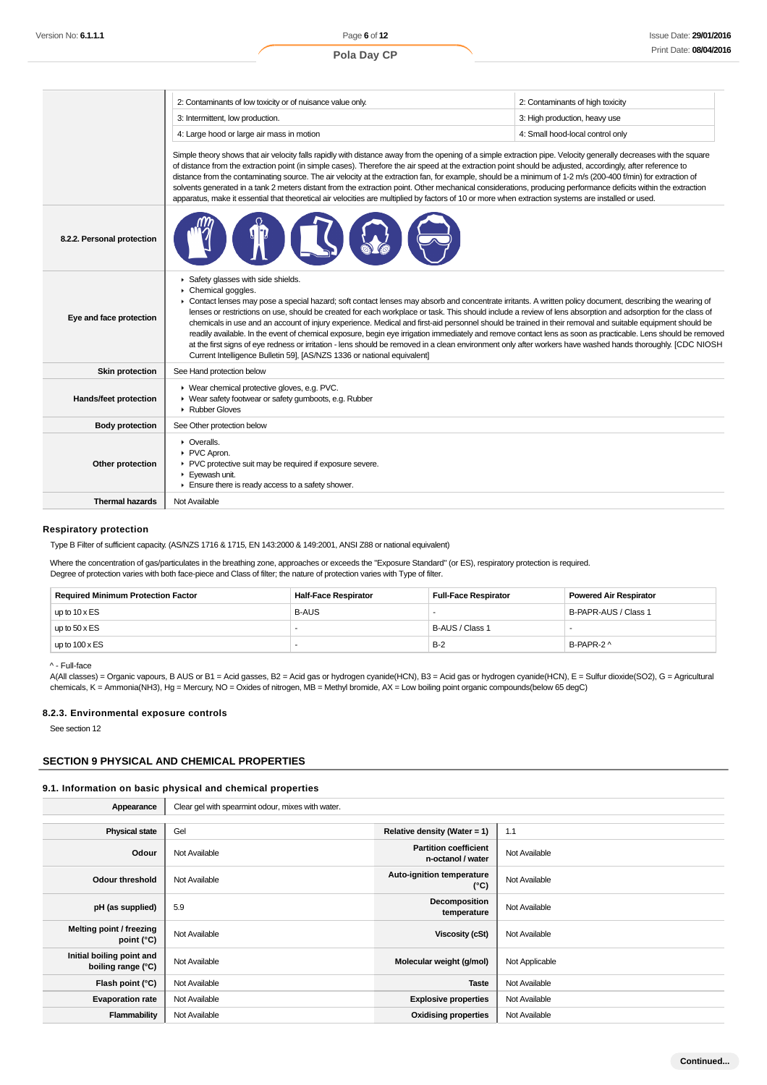|                            | 2: Contaminants of low toxicity or of nuisance value only.                                                                                                                                                                                                                                                                                                                                                                                                                                                                                                                                                                                                                                                                                                                                                                                                                                                                                                   | 2: Contaminants of high toxicity |  |  |
|----------------------------|--------------------------------------------------------------------------------------------------------------------------------------------------------------------------------------------------------------------------------------------------------------------------------------------------------------------------------------------------------------------------------------------------------------------------------------------------------------------------------------------------------------------------------------------------------------------------------------------------------------------------------------------------------------------------------------------------------------------------------------------------------------------------------------------------------------------------------------------------------------------------------------------------------------------------------------------------------------|----------------------------------|--|--|
|                            | 3: Intermittent, low production.                                                                                                                                                                                                                                                                                                                                                                                                                                                                                                                                                                                                                                                                                                                                                                                                                                                                                                                             | 3: High production, heavy use    |  |  |
|                            | 4: Large hood or large air mass in motion                                                                                                                                                                                                                                                                                                                                                                                                                                                                                                                                                                                                                                                                                                                                                                                                                                                                                                                    | 4: Small hood-local control only |  |  |
|                            | Simple theory shows that air velocity falls rapidly with distance away from the opening of a simple extraction pipe. Velocity generally decreases with the square<br>of distance from the extraction point (in simple cases). Therefore the air speed at the extraction point should be adjusted, accordingly, after reference to<br>distance from the contaminating source. The air velocity at the extraction fan, for example, should be a minimum of 1-2 m/s (200-400 f/min) for extraction of<br>solvents generated in a tank 2 meters distant from the extraction point. Other mechanical considerations, producing performance deficits within the extraction<br>apparatus, make it essential that theoretical air velocities are multiplied by factors of 10 or more when extraction systems are installed or used.                                                                                                                                  |                                  |  |  |
| 8.2.2. Personal protection |                                                                                                                                                                                                                                                                                                                                                                                                                                                                                                                                                                                                                                                                                                                                                                                                                                                                                                                                                              |                                  |  |  |
| Eye and face protection    | Safety glasses with side shields.<br>Chemical goggles.<br>• Contact lenses may pose a special hazard; soft contact lenses may absorb and concentrate irritants. A written policy document, describing the wearing of<br>lenses or restrictions on use, should be created for each workplace or task. This should include a review of lens absorption and adsorption for the class of<br>chemicals in use and an account of injury experience. Medical and first-aid personnel should be trained in their removal and suitable equipment should be<br>readily available. In the event of chemical exposure, begin eye irrigation immediately and remove contact lens as soon as practicable. Lens should be removed<br>at the first signs of eye redness or irritation - lens should be removed in a clean environment only after workers have washed hands thoroughly. [CDC NIOSH<br>Current Intelligence Bulletin 59], [AS/NZS 1336 or national equivalent] |                                  |  |  |
| <b>Skin protection</b>     | See Hand protection below                                                                                                                                                                                                                                                                                                                                                                                                                                                                                                                                                                                                                                                                                                                                                                                                                                                                                                                                    |                                  |  |  |
| Hands/feet protection      | ▶ Wear chemical protective gloves, e.g. PVC.<br>▶ Wear safety footwear or safety gumboots, e.g. Rubber<br>Rubber Gloves                                                                                                                                                                                                                                                                                                                                                                                                                                                                                                                                                                                                                                                                                                                                                                                                                                      |                                  |  |  |
| <b>Body protection</b>     | See Other protection below                                                                                                                                                                                                                                                                                                                                                                                                                                                                                                                                                                                                                                                                                                                                                                                                                                                                                                                                   |                                  |  |  |
|                            |                                                                                                                                                                                                                                                                                                                                                                                                                                                                                                                                                                                                                                                                                                                                                                                                                                                                                                                                                              |                                  |  |  |
| Other protection           | • Overalls.<br>PVC Apron.<br>PVC protective suit may be required if exposure severe.<br>Eyewash unit.<br>$\blacktriangleright$ Ensure there is ready access to a safety shower.                                                                                                                                                                                                                                                                                                                                                                                                                                                                                                                                                                                                                                                                                                                                                                              |                                  |  |  |

### **Respiratory protection**

Type B Filter of sufficient capacity. (AS/NZS 1716 & 1715, EN 143:2000 & 149:2001, ANSI Z88 or national equivalent)

Where the concentration of gas/particulates in the breathing zone, approaches or exceeds the "Exposure Standard" (or ES), respiratory protection is required. Degree of protection varies with both face-piece and Class of filter; the nature of protection varies with Type of filter.

| <b>Required Minimum Protection Factor</b> | <b>Half-Face Respirator</b> | <b>Full-Face Respirator</b> | <b>Powered Air Respirator</b> |
|-------------------------------------------|-----------------------------|-----------------------------|-------------------------------|
| up to $10 \times ES$                      | <b>B-AUS</b>                |                             | B-PAPR-AUS / Class 1          |
| up to $50 \times ES$                      |                             | B-AUS / Class 1             |                               |
| up to $100 \times ES$                     |                             | $B-2$                       | B-PAPR-2 ^                    |

^ - Full-face

A(All classes) = Organic vapours, B AUS or B1 = Acid gasses, B2 = Acid gas or hydrogen cyanide(HCN), B3 = Acid gas or hydrogen cyanide(HCN), E = Sulfur dioxide(SO2), G = Agricultural chemicals, K = Ammonia(NH3), Hg = Mercury, NO = Oxides of nitrogen, MB = Methyl bromide, AX = Low boiling point organic compounds(below 65 degC)

### **8.2.3. Environmental exposure controls**

See section 12

## **SECTION 9 PHYSICAL AND CHEMICAL PROPERTIES**

#### **9.1. Information on basic physical and chemical properties**

| Appearance                                      | Clear gel with spearmint odour, mixes with water. |                                                   |                |
|-------------------------------------------------|---------------------------------------------------|---------------------------------------------------|----------------|
|                                                 |                                                   |                                                   |                |
| <b>Physical state</b>                           | Gel                                               | Relative density (Water = 1)                      | 1.1            |
| Odour                                           | Not Available                                     | <b>Partition coefficient</b><br>n-octanol / water | Not Available  |
| Odour threshold                                 | Not Available                                     | Auto-ignition temperature<br>$(^{\circ}C)$        | Not Available  |
| pH (as supplied)                                | 5.9                                               | Decomposition<br>temperature                      | Not Available  |
| Melting point / freezing<br>point (°C)          | Not Available                                     | Viscosity (cSt)                                   | Not Available  |
| Initial boiling point and<br>boiling range (°C) | Not Available                                     | Molecular weight (g/mol)                          | Not Applicable |
| Flash point (°C)                                | Not Available                                     | <b>Taste</b>                                      | Not Available  |
| <b>Evaporation rate</b>                         | Not Available                                     | <b>Explosive properties</b>                       | Not Available  |
| Flammability                                    | Not Available                                     | <b>Oxidising properties</b>                       | Not Available  |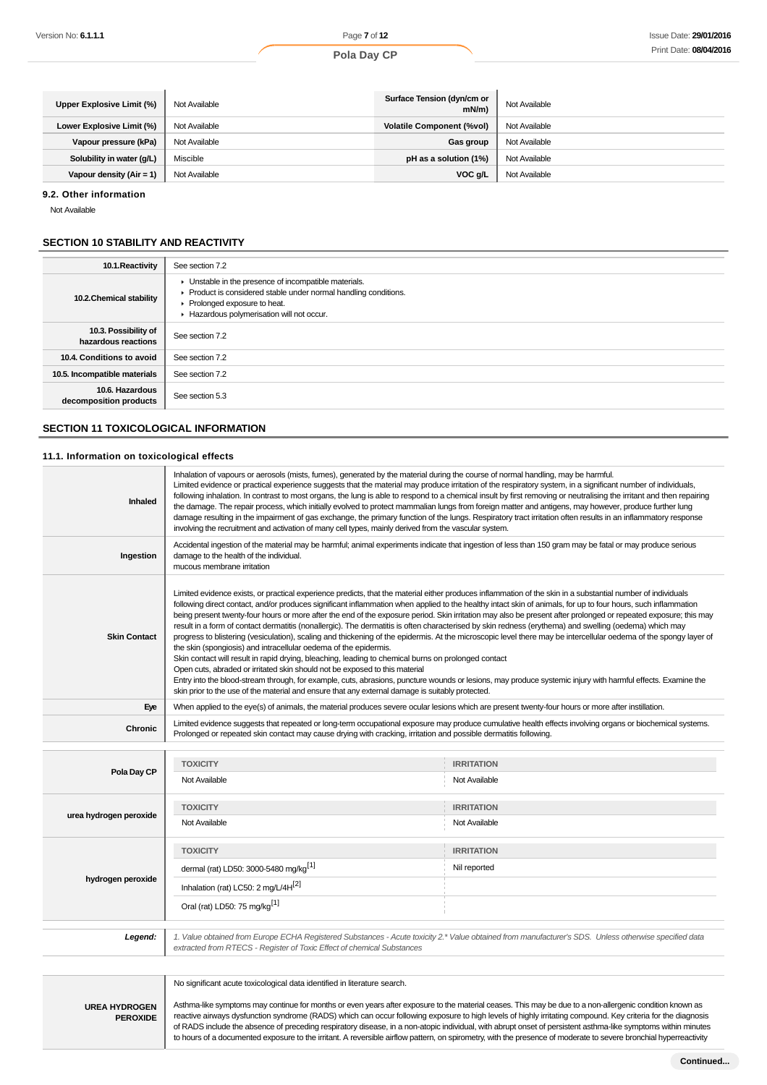### **Pola Day CP**

| Upper Explosive Limit (%)  | Not Available | Surface Tension (dyn/cm or<br>mN/m | Not Available |
|----------------------------|---------------|------------------------------------|---------------|
| Lower Explosive Limit (%)  | Not Available | <b>Volatile Component (%vol)</b>   | Not Available |
| Vapour pressure (kPa)      | Not Available | Gas group                          | Not Available |
| Solubility in water (g/L)  | Miscible      | pH as a solution (1%)              | Not Available |
| Vapour density $(Air = 1)$ | Not Available | VOC g/L                            | Not Available |

#### **9.2. Other information**

Not Available

### **SECTION 10 STABILITY AND REACTIVITY**

| 10.1. Reactivity                            | See section 7.2                                                                                                                                                                                    |
|---------------------------------------------|----------------------------------------------------------------------------------------------------------------------------------------------------------------------------------------------------|
| 10.2. Chemical stability                    | Unstable in the presence of incompatible materials.<br>Product is considered stable under normal handling conditions.<br>• Prolonged exposure to heat.<br>Hazardous polymerisation will not occur. |
| 10.3. Possibility of<br>hazardous reactions | See section 7.2                                                                                                                                                                                    |
| 10.4. Conditions to avoid                   | See section 7.2                                                                                                                                                                                    |
| 10.5. Incompatible materials                | See section 7.2                                                                                                                                                                                    |
| 10.6. Hazardous<br>decomposition products   | See section 5.3                                                                                                                                                                                    |

### **SECTION 11 TOXICOLOGICAL INFORMATION**

### **11.1. Information on toxicological effects**

| Inhaled                | Inhalation of vapours or aerosols (mists, fumes), generated by the material during the course of normal handling, may be harmful.<br>Limited evidence or practical experience suggests that the material may produce irritation of the respiratory system, in a significant number of individuals,<br>following inhalation. In contrast to most organs, the lung is able to respond to a chemical insult by first removing or neutralising the irritant and then repairing<br>the damage. The repair process, which initially evolved to protect mammalian lungs from foreign matter and antigens, may however, produce further lung<br>damage resulting in the impairment of gas exchange, the primary function of the lungs. Respiratory tract irritation often results in an inflammatory response<br>involving the recruitment and activation of many cell types, mainly derived from the vascular system.                                                                                                                                                                                                                                                                                                                                                                                                                                                  |                                                                                                                                                       |  |  |
|------------------------|-----------------------------------------------------------------------------------------------------------------------------------------------------------------------------------------------------------------------------------------------------------------------------------------------------------------------------------------------------------------------------------------------------------------------------------------------------------------------------------------------------------------------------------------------------------------------------------------------------------------------------------------------------------------------------------------------------------------------------------------------------------------------------------------------------------------------------------------------------------------------------------------------------------------------------------------------------------------------------------------------------------------------------------------------------------------------------------------------------------------------------------------------------------------------------------------------------------------------------------------------------------------------------------------------------------------------------------------------------------------|-------------------------------------------------------------------------------------------------------------------------------------------------------|--|--|
| Ingestion              | Accidental ingestion of the material may be harmful; animal experiments indicate that ingestion of less than 150 gram may be fatal or may produce serious<br>damage to the health of the individual.<br>mucous membrane irritation                                                                                                                                                                                                                                                                                                                                                                                                                                                                                                                                                                                                                                                                                                                                                                                                                                                                                                                                                                                                                                                                                                                              |                                                                                                                                                       |  |  |
| <b>Skin Contact</b>    | Limited evidence exists, or practical experience predicts, that the material either produces inflammation of the skin in a substantial number of individuals<br>following direct contact, and/or produces significant inflammation when applied to the healthy intact skin of animals, for up to four hours, such inflammation<br>being present twenty-four hours or more after the end of the exposure period. Skin irritation may also be present after prolonged or repeated exposure; this may<br>result in a form of contact dermatitis (nonallergic). The dermatitis is often characterised by skin redness (erythema) and swelling (oedema) which may<br>progress to blistering (vesiculation), scaling and thickening of the epidermis. At the microscopic level there may be intercellular oedema of the spongy layer of<br>the skin (spongiosis) and intracellular oedema of the epidermis.<br>Skin contact will result in rapid drying, bleaching, leading to chemical burns on prolonged contact<br>Open cuts, abraded or irritated skin should not be exposed to this material<br>Entry into the blood-stream through, for example, cuts, abrasions, puncture wounds or lesions, may produce systemic injury with harmful effects. Examine the<br>skin prior to the use of the material and ensure that any external damage is suitably protected. |                                                                                                                                                       |  |  |
| Eye                    | When applied to the eye(s) of animals, the material produces severe ocular lesions which are present twenty-four hours or more after instillation.                                                                                                                                                                                                                                                                                                                                                                                                                                                                                                                                                                                                                                                                                                                                                                                                                                                                                                                                                                                                                                                                                                                                                                                                              |                                                                                                                                                       |  |  |
| <b>Chronic</b>         | Limited evidence suggests that repeated or long-term occupational exposure may produce cumulative health effects involving organs or biochemical systems.<br>Prolonged or repeated skin contact may cause drying with cracking, irritation and possible dermatitis following.                                                                                                                                                                                                                                                                                                                                                                                                                                                                                                                                                                                                                                                                                                                                                                                                                                                                                                                                                                                                                                                                                   |                                                                                                                                                       |  |  |
|                        |                                                                                                                                                                                                                                                                                                                                                                                                                                                                                                                                                                                                                                                                                                                                                                                                                                                                                                                                                                                                                                                                                                                                                                                                                                                                                                                                                                 |                                                                                                                                                       |  |  |
| Pola Day CP            | <b>TOXICITY</b>                                                                                                                                                                                                                                                                                                                                                                                                                                                                                                                                                                                                                                                                                                                                                                                                                                                                                                                                                                                                                                                                                                                                                                                                                                                                                                                                                 | <b>IRRITATION</b>                                                                                                                                     |  |  |
|                        | Not Available                                                                                                                                                                                                                                                                                                                                                                                                                                                                                                                                                                                                                                                                                                                                                                                                                                                                                                                                                                                                                                                                                                                                                                                                                                                                                                                                                   | Not Available                                                                                                                                         |  |  |
|                        | <b>TOXICITY</b>                                                                                                                                                                                                                                                                                                                                                                                                                                                                                                                                                                                                                                                                                                                                                                                                                                                                                                                                                                                                                                                                                                                                                                                                                                                                                                                                                 | <b>IRRITATION</b>                                                                                                                                     |  |  |
| urea hydrogen peroxide | Not Available                                                                                                                                                                                                                                                                                                                                                                                                                                                                                                                                                                                                                                                                                                                                                                                                                                                                                                                                                                                                                                                                                                                                                                                                                                                                                                                                                   | Not Available                                                                                                                                         |  |  |
|                        | <b>TOXICITY</b>                                                                                                                                                                                                                                                                                                                                                                                                                                                                                                                                                                                                                                                                                                                                                                                                                                                                                                                                                                                                                                                                                                                                                                                                                                                                                                                                                 | <b>IRRITATION</b>                                                                                                                                     |  |  |
|                        | dermal (rat) LD50: 3000-5480 mg/kg <sup>[1]</sup>                                                                                                                                                                                                                                                                                                                                                                                                                                                                                                                                                                                                                                                                                                                                                                                                                                                                                                                                                                                                                                                                                                                                                                                                                                                                                                               | Nil reported                                                                                                                                          |  |  |
| hydrogen peroxide      | Inhalation (rat) LC50: 2 mg/L/4H <sup>[2]</sup>                                                                                                                                                                                                                                                                                                                                                                                                                                                                                                                                                                                                                                                                                                                                                                                                                                                                                                                                                                                                                                                                                                                                                                                                                                                                                                                 |                                                                                                                                                       |  |  |
|                        | Oral (rat) LD50: 75 mg/kg <sup>[1]</sup>                                                                                                                                                                                                                                                                                                                                                                                                                                                                                                                                                                                                                                                                                                                                                                                                                                                                                                                                                                                                                                                                                                                                                                                                                                                                                                                        |                                                                                                                                                       |  |  |
| Legend:                |                                                                                                                                                                                                                                                                                                                                                                                                                                                                                                                                                                                                                                                                                                                                                                                                                                                                                                                                                                                                                                                                                                                                                                                                                                                                                                                                                                 | 1. Value obtained from Europe ECHA Registered Substances - Acute toxicity 2.* Value obtained from manufacturer's SDS. Unless otherwise specified data |  |  |
|                        |                                                                                                                                                                                                                                                                                                                                                                                                                                                                                                                                                                                                                                                                                                                                                                                                                                                                                                                                                                                                                                                                                                                                                                                                                                                                                                                                                                 |                                                                                                                                                       |  |  |

extracted from RTECS - Register of Toxic Effect of chemical Substances

**UREA HYDROGEN PEROXIDE** No significant acute toxicological data identified in literature search.

Asthma-like symptoms may continue for months or even years after exposure to the material ceases. This may be due to a non-allergenic condition known as reactive airways dysfunction syndrome (RADS) which can occur following exposure to high levels of highly irritating compound. Key criteria for the diagnosis of RADS include the absence of preceding respiratory disease, in a non-atopic individual, with abrupt onset of persistent asthma-like symptoms within minutes to hours of a documented exposure to the irritant. A reversible airflow pattern, on spirometry, with the presence of moderate to severe bronchial hyperreactivity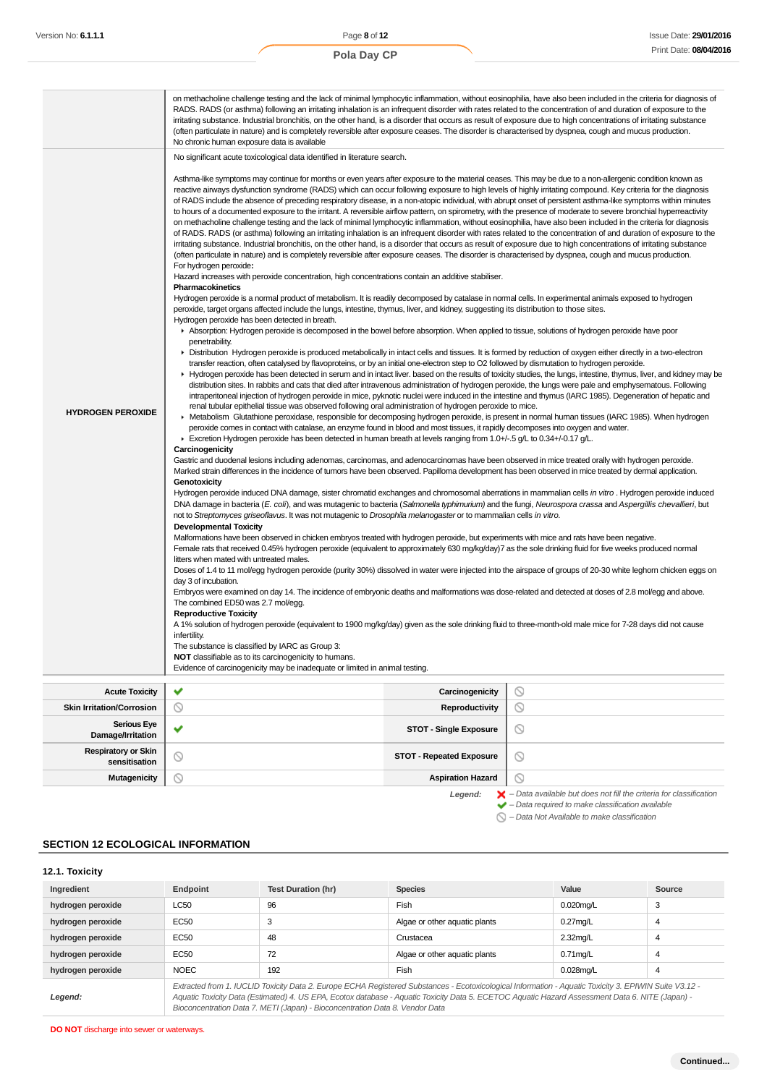|                                  | on methacholine challenge testing and the lack of minimal lymphocytic inflammation, without eosinophilia, have also been included in the criteria for diagnosis of<br>RADS. RADS (or asthma) following an irritating inhalation is an infrequent disorder with rates related to the concentration of and duration of exposure to the<br>irritating substance. Industrial bronchitis, on the other hand, is a disorder that occurs as result of exposure due to high concentrations of irritating substance<br>(often particulate in nature) and is completely reversible after exposure ceases. The disorder is characterised by dyspnea, cough and mucus production.<br>No chronic human exposure data is available                                                                                                                                                                                                                                                                                                                                                                                                                                                                                                                                                                                                                                                                                                                                                                                                                                                                                                                                                                                                                                                                                                                                                                                                                                                                                                                                                                                                                                                                                                                                                                                                                                                                                                                                                                                                                                                                                                                                                                                                                                                                                                                                                                                                                                                                                                                                                                                                                                                                                                                                                                                                                                                                                                                                                                                                                                                                                                                                                                                                                                                                                                                                                                                                                                                                                                                                                                                                                                                                                                                                                                                                                                                                                                                                                                                                                                                                                                                                                                                                                                                                                                                                                                                                                                    |                |  |  |
|----------------------------------|---------------------------------------------------------------------------------------------------------------------------------------------------------------------------------------------------------------------------------------------------------------------------------------------------------------------------------------------------------------------------------------------------------------------------------------------------------------------------------------------------------------------------------------------------------------------------------------------------------------------------------------------------------------------------------------------------------------------------------------------------------------------------------------------------------------------------------------------------------------------------------------------------------------------------------------------------------------------------------------------------------------------------------------------------------------------------------------------------------------------------------------------------------------------------------------------------------------------------------------------------------------------------------------------------------------------------------------------------------------------------------------------------------------------------------------------------------------------------------------------------------------------------------------------------------------------------------------------------------------------------------------------------------------------------------------------------------------------------------------------------------------------------------------------------------------------------------------------------------------------------------------------------------------------------------------------------------------------------------------------------------------------------------------------------------------------------------------------------------------------------------------------------------------------------------------------------------------------------------------------------------------------------------------------------------------------------------------------------------------------------------------------------------------------------------------------------------------------------------------------------------------------------------------------------------------------------------------------------------------------------------------------------------------------------------------------------------------------------------------------------------------------------------------------------------------------------------------------------------------------------------------------------------------------------------------------------------------------------------------------------------------------------------------------------------------------------------------------------------------------------------------------------------------------------------------------------------------------------------------------------------------------------------------------------------------------------------------------------------------------------------------------------------------------------------------------------------------------------------------------------------------------------------------------------------------------------------------------------------------------------------------------------------------------------------------------------------------------------------------------------------------------------------------------------------------------------------------------------------------------------------------------------------------------------------------------------------------------------------------------------------------------------------------------------------------------------------------------------------------------------------------------------------------------------------------------------------------------------------------------------------------------------------------------------------------------------------------------------------------------------------------------------------------------------------------------------------------------------------------------------------------------------------------------------------------------------------------------------------------------------------------------------------------------------------------------------------------------------------------------------------------------------------------------------------------------------------------------------------------------------------------------------------------------------------------------------------|----------------|--|--|
|                                  | No significant acute toxicological data identified in literature search.                                                                                                                                                                                                                                                                                                                                                                                                                                                                                                                                                                                                                                                                                                                                                                                                                                                                                                                                                                                                                                                                                                                                                                                                                                                                                                                                                                                                                                                                                                                                                                                                                                                                                                                                                                                                                                                                                                                                                                                                                                                                                                                                                                                                                                                                                                                                                                                                                                                                                                                                                                                                                                                                                                                                                                                                                                                                                                                                                                                                                                                                                                                                                                                                                                                                                                                                                                                                                                                                                                                                                                                                                                                                                                                                                                                                                                                                                                                                                                                                                                                                                                                                                                                                                                                                                                                                                                                                                                                                                                                                                                                                                                                                                                                                                                                                                                                                                |                |  |  |
| <b>HYDROGEN PEROXIDE</b>         | Asthma-like symptoms may continue for months or even years after exposure to the material ceases. This may be due to a non-allergenic condition known as<br>reactive airways dysfunction syndrome (RADS) which can occur following exposure to high levels of highly irritating compound. Key criteria for the diagnosis<br>of RADS include the absence of preceding respiratory disease, in a non-atopic individual, with abrupt onset of persistent asthma-like symptoms within minutes<br>to hours of a documented exposure to the irritant. A reversible airflow pattern, on spirometry, with the presence of moderate to severe bronchial hyperreactivity<br>on methacholine challenge testing and the lack of minimal lymphocytic inflammation, without eosinophilia, have also been included in the criteria for diagnosis<br>of RADS. RADS (or asthma) following an irritating inhalation is an infrequent disorder with rates related to the concentration of and duration of exposure to the<br>irritating substance. Industrial bronchitis, on the other hand, is a disorder that occurs as result of exposure due to high concentrations of irritating substance<br>(often particulate in nature) and is completely reversible after exposure ceases. The disorder is characterised by dyspnea, cough and mucus production.<br>For hydrogen peroxide:<br>Hazard increases with peroxide concentration, high concentrations contain an additive stabiliser.<br><b>Pharmacokinetics</b><br>Hydrogen peroxide is a normal product of metabolism. It is readily decomposed by catalase in normal cells. In experimental animals exposed to hydrogen<br>peroxide, target organs affected include the lungs, intestine, thymus, liver, and kidney, suggesting its distribution to those sites.<br>Hydrogen peroxide has been detected in breath.<br>Absorption: Hydrogen peroxide is decomposed in the bowel before absorption. When applied to tissue, solutions of hydrogen peroxide have poor<br>penetrability.<br>► Distribution Hydrogen peroxide is produced metabolically in intact cells and tissues. It is formed by reduction of oxygen either directly in a two-electron<br>transfer reaction, often catalysed by flavoproteins, or by an initial one-electron step to O2 followed by dismutation to hydrogen peroxide.<br>► Hydrogen peroxide has been detected in serum and in intact liver. based on the results of toxicity studies, the lungs, intestine, thymus, liver, and kidney may be<br>distribution sites. In rabbits and cats that died after intravenous administration of hydrogen peroxide, the lungs were pale and emphysematous. Following<br>intraperitoneal injection of hydrogen peroxide in mice, pyknotic nuclei were induced in the intestine and thymus (IARC 1985). Degeneration of hepatic and<br>renal tubular epithelial tissue was observed following oral administration of hydrogen peroxide to mice.<br>▶ Metabolism Glutathione peroxidase, responsible for decomposing hydrogen peroxide, is present in normal human tissues (IARC 1985). When hydrogen<br>peroxide comes in contact with catalase, an enzyme found in blood and most tissues, it rapidly decomposes into oxygen and water.<br>F Excretion Hydrogen peroxide has been detected in human breath at levels ranging from 1.0+/-.5 g/L to 0.34+/-0.17 g/L.<br>Carcinogenicity<br>Gastric and duodenal lesions including adenomas, carcinomas, and adenocarcinomas have been observed in mice treated orally with hydrogen peroxide.<br>Marked strain differences in the incidence of tumors have been observed. Papilloma development has been observed in mice treated by dermal application.<br>Genotoxicity<br>Hydrogen peroxide induced DNA damage, sister chromatid exchanges and chromosomal aberrations in mammalian cells in vitro. Hydrogen peroxide induced<br>DNA damage in bacteria (E. coli), and was mutagenic to bacteria (Salmonella typhimurium) and the fungi, Neurospora crassa and Aspergillis chevallieri, but<br>not to Streptomyces griseoflavus. It was not mutagenic to Drosophila melanogaster or to mammalian cells in vitro.<br><b>Developmental Toxicity</b><br>Malformations have been observed in chicken embryos treated with hydrogen peroxide, but experiments with mice and rats have been negative.<br>Female rats that received 0.45% hydrogen peroxide (equivalent to approximately 630 mg/kg/day)7 as the sole drinking fluid for five weeks produced normal<br>litters when mated with untreated males.<br>Doses of 1.4 to 11 mol/egg hydrogen peroxide (purity 30%) dissolved in water were injected into the airspace of groups of 20-30 white leghorn chicken eggs on<br>day 3 of incubation.<br>Embryos were examined on day 14. The incidence of embryonic deaths and malformations was dose-related and detected at doses of 2.8 mol/egg and above.<br>The combined ED50 was 2.7 mol/egg. |                |  |  |
|                                  | <b>Reproductive Toxicity</b><br>A 1% solution of hydrogen peroxide (equivalent to 1900 mg/kg/day) given as the sole drinking fluid to three-month-old male mice for 7-28 days did not cause                                                                                                                                                                                                                                                                                                                                                                                                                                                                                                                                                                                                                                                                                                                                                                                                                                                                                                                                                                                                                                                                                                                                                                                                                                                                                                                                                                                                                                                                                                                                                                                                                                                                                                                                                                                                                                                                                                                                                                                                                                                                                                                                                                                                                                                                                                                                                                                                                                                                                                                                                                                                                                                                                                                                                                                                                                                                                                                                                                                                                                                                                                                                                                                                                                                                                                                                                                                                                                                                                                                                                                                                                                                                                                                                                                                                                                                                                                                                                                                                                                                                                                                                                                                                                                                                                                                                                                                                                                                                                                                                                                                                                                                                                                                                                             |                |  |  |
|                                  | infertility.                                                                                                                                                                                                                                                                                                                                                                                                                                                                                                                                                                                                                                                                                                                                                                                                                                                                                                                                                                                                                                                                                                                                                                                                                                                                                                                                                                                                                                                                                                                                                                                                                                                                                                                                                                                                                                                                                                                                                                                                                                                                                                                                                                                                                                                                                                                                                                                                                                                                                                                                                                                                                                                                                                                                                                                                                                                                                                                                                                                                                                                                                                                                                                                                                                                                                                                                                                                                                                                                                                                                                                                                                                                                                                                                                                                                                                                                                                                                                                                                                                                                                                                                                                                                                                                                                                                                                                                                                                                                                                                                                                                                                                                                                                                                                                                                                                                                                                                                            |                |  |  |
|                                  | The substance is classified by IARC as Group 3:                                                                                                                                                                                                                                                                                                                                                                                                                                                                                                                                                                                                                                                                                                                                                                                                                                                                                                                                                                                                                                                                                                                                                                                                                                                                                                                                                                                                                                                                                                                                                                                                                                                                                                                                                                                                                                                                                                                                                                                                                                                                                                                                                                                                                                                                                                                                                                                                                                                                                                                                                                                                                                                                                                                                                                                                                                                                                                                                                                                                                                                                                                                                                                                                                                                                                                                                                                                                                                                                                                                                                                                                                                                                                                                                                                                                                                                                                                                                                                                                                                                                                                                                                                                                                                                                                                                                                                                                                                                                                                                                                                                                                                                                                                                                                                                                                                                                                                         |                |  |  |
|                                  | NOT classifiable as to its carcinogenicity to humans.<br>Evidence of carcinogenicity may be inadequate or limited in animal testing.                                                                                                                                                                                                                                                                                                                                                                                                                                                                                                                                                                                                                                                                                                                                                                                                                                                                                                                                                                                                                                                                                                                                                                                                                                                                                                                                                                                                                                                                                                                                                                                                                                                                                                                                                                                                                                                                                                                                                                                                                                                                                                                                                                                                                                                                                                                                                                                                                                                                                                                                                                                                                                                                                                                                                                                                                                                                                                                                                                                                                                                                                                                                                                                                                                                                                                                                                                                                                                                                                                                                                                                                                                                                                                                                                                                                                                                                                                                                                                                                                                                                                                                                                                                                                                                                                                                                                                                                                                                                                                                                                                                                                                                                                                                                                                                                                    |                |  |  |
|                                  |                                                                                                                                                                                                                                                                                                                                                                                                                                                                                                                                                                                                                                                                                                                                                                                                                                                                                                                                                                                                                                                                                                                                                                                                                                                                                                                                                                                                                                                                                                                                                                                                                                                                                                                                                                                                                                                                                                                                                                                                                                                                                                                                                                                                                                                                                                                                                                                                                                                                                                                                                                                                                                                                                                                                                                                                                                                                                                                                                                                                                                                                                                                                                                                                                                                                                                                                                                                                                                                                                                                                                                                                                                                                                                                                                                                                                                                                                                                                                                                                                                                                                                                                                                                                                                                                                                                                                                                                                                                                                                                                                                                                                                                                                                                                                                                                                                                                                                                                                         |                |  |  |
| <b>Acute Toxicity</b>            | ✔<br>Carcinogenicity                                                                                                                                                                                                                                                                                                                                                                                                                                                                                                                                                                                                                                                                                                                                                                                                                                                                                                                                                                                                                                                                                                                                                                                                                                                                                                                                                                                                                                                                                                                                                                                                                                                                                                                                                                                                                                                                                                                                                                                                                                                                                                                                                                                                                                                                                                                                                                                                                                                                                                                                                                                                                                                                                                                                                                                                                                                                                                                                                                                                                                                                                                                                                                                                                                                                                                                                                                                                                                                                                                                                                                                                                                                                                                                                                                                                                                                                                                                                                                                                                                                                                                                                                                                                                                                                                                                                                                                                                                                                                                                                                                                                                                                                                                                                                                                                                                                                                                                                    | O              |  |  |
|                                  |                                                                                                                                                                                                                                                                                                                                                                                                                                                                                                                                                                                                                                                                                                                                                                                                                                                                                                                                                                                                                                                                                                                                                                                                                                                                                                                                                                                                                                                                                                                                                                                                                                                                                                                                                                                                                                                                                                                                                                                                                                                                                                                                                                                                                                                                                                                                                                                                                                                                                                                                                                                                                                                                                                                                                                                                                                                                                                                                                                                                                                                                                                                                                                                                                                                                                                                                                                                                                                                                                                                                                                                                                                                                                                                                                                                                                                                                                                                                                                                                                                                                                                                                                                                                                                                                                                                                                                                                                                                                                                                                                                                                                                                                                                                                                                                                                                                                                                                                                         |                |  |  |
| <b>Skin Irritation/Corrosion</b> | ◎<br>Reproductivity                                                                                                                                                                                                                                                                                                                                                                                                                                                                                                                                                                                                                                                                                                                                                                                                                                                                                                                                                                                                                                                                                                                                                                                                                                                                                                                                                                                                                                                                                                                                                                                                                                                                                                                                                                                                                                                                                                                                                                                                                                                                                                                                                                                                                                                                                                                                                                                                                                                                                                                                                                                                                                                                                                                                                                                                                                                                                                                                                                                                                                                                                                                                                                                                                                                                                                                                                                                                                                                                                                                                                                                                                                                                                                                                                                                                                                                                                                                                                                                                                                                                                                                                                                                                                                                                                                                                                                                                                                                                                                                                                                                                                                                                                                                                                                                                                                                                                                                                     | $\circledcirc$ |  |  |

| Acute loxicity                              | - 92 | Carcinogenicity                 |   |
|---------------------------------------------|------|---------------------------------|---|
| <b>Skin Irritation/Corrosion</b>            |      | Reproductivity                  |   |
| <b>Serious Eye</b><br>Damage/Irritation     |      | <b>STOT - Single Exposure</b>   | ◡ |
| <b>Respiratory or Skin</b><br>sensitisation |      | <b>STOT - Repeated Exposure</b> | ◡ |
| <b>Mutagenicity</b>                         |      | <b>Aspiration Hazard</b>        |   |
|                                             |      | l oceand:                       |   |

Legend:  $\mathsf{X}$  - Data available but does not fill the criteria for classification<br>  $\mathsf{Y}$  - Data required to make classification available

 $\bigcirc$  – Data Not Available to make classification

### **SECTION 12 ECOLOGICAL INFORMATION**

| 12.1. Toxicity    |                                                                                                                                                                                                                                                                                                          |                           |                               |              |        |
|-------------------|----------------------------------------------------------------------------------------------------------------------------------------------------------------------------------------------------------------------------------------------------------------------------------------------------------|---------------------------|-------------------------------|--------------|--------|
| Ingredient        | Endpoint                                                                                                                                                                                                                                                                                                 | <b>Test Duration (hr)</b> | <b>Species</b>                | Value        | Source |
| hydrogen peroxide | <b>LC50</b>                                                                                                                                                                                                                                                                                              | 96                        | Fish                          | $0.020$ mg/L | 3      |
| hydrogen peroxide | EC50                                                                                                                                                                                                                                                                                                     | 3                         | Algae or other aguatic plants | $0.27$ mg/L  | 4      |
| hydrogen peroxide | EC50                                                                                                                                                                                                                                                                                                     | 48                        | Crustacea                     | $2.32$ mg/L  | 4      |
| hydrogen peroxide | EC50                                                                                                                                                                                                                                                                                                     | 72                        | Algae or other aquatic plants | $0.71$ mg/L  | 4      |
| hydrogen peroxide | <b>NOEC</b>                                                                                                                                                                                                                                                                                              | 192                       | Fish                          | $0.028$ mg/L | 4      |
| Legend:           | Extracted from 1. IUCLID Toxicity Data 2. Europe ECHA Registered Substances - Ecotoxicological Information - Aquatic Toxicity 3. EPIWIN Suite V3.12 -<br>Aquatic Toxicity Data (Estimated) 4. US EPA, Ecotox database - Aquatic Toxicity Data 5. ECETOC Aquatic Hazard Assessment Data 6. NITE (Japan) - |                           |                               |              |        |

Aquatic Toxicity Data (Estimated) 4. US EPA, Ecotox database - Aquatic Toxicity Data 5. ECETOC Aquatic Hazard Assessment Data 6. NITE (Japan) - Bioconcentration Data 7. METI (Japan) - Bioconcentration Data 8. Vendor Data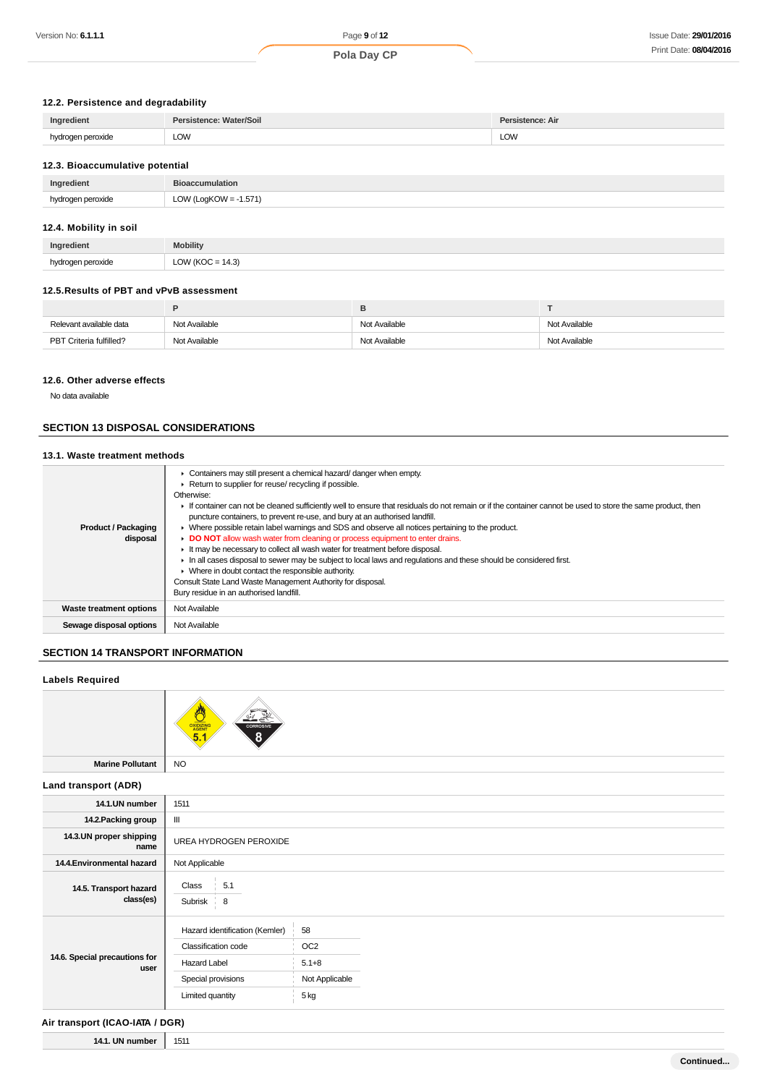# **12.2. Persistence and degradability**

| Ingredient        | Persistence: Water/Soil | sistence: Air |
|-------------------|-------------------------|---------------|
| hydrogen peroxide | LOW                     | <b>LOW</b>    |

### **12.3. Bioaccumulative potential**

| Ingredient    | <b>Bioaccumulation</b> |
|---------------|------------------------|
| hvdr          | 1.571                  |
| ogen peroxide | LOW (LogKOW            |

### **12.4. Mobility in soil**

| Ingredient | <b>Mobility</b>                                                                      |
|------------|--------------------------------------------------------------------------------------|
| hva.<br>.  | $\overline{111}$<br>14.3<br>$\sim$<br>$\overline{\phantom{a}}$<br>יט.+י<br>--<br>$-$ |

### **12.5.Results of PBT and vPvB assessment**

| Relevant available data | Not Available | Not Available | Not Available |
|-------------------------|---------------|---------------|---------------|
| PBT Criteria fulfilled? | Not Available | Not Available | Not Available |

#### **12.6. Other adverse effects**

No data available

# **SECTION 13 DISPOSAL CONSIDERATIONS**

#### **13.1. Waste treatment methods**

| <b>Product / Packaging</b><br>disposal | • Containers may still present a chemical hazard/danger when empty.<br>Return to supplier for reuse/ recycling if possible.<br>Otherwise:<br>If container can not be cleaned sufficiently well to ensure that residuals do not remain or if the container cannot be used to store the same product, then<br>puncture containers, to prevent re-use, and bury at an authorised landfill.<br>• Where possible retain label warnings and SDS and observe all notices pertaining to the product.<br>DO NOT allow wash water from cleaning or process equipment to enter drains.<br>It may be necessary to collect all wash water for treatment before disposal.<br>In all cases disposal to sewer may be subject to local laws and regulations and these should be considered first.<br>$\triangleright$ Where in doubt contact the responsible authority.<br>Consult State Land Waste Management Authority for disposal.<br>Bury residue in an authorised landfill. |
|----------------------------------------|------------------------------------------------------------------------------------------------------------------------------------------------------------------------------------------------------------------------------------------------------------------------------------------------------------------------------------------------------------------------------------------------------------------------------------------------------------------------------------------------------------------------------------------------------------------------------------------------------------------------------------------------------------------------------------------------------------------------------------------------------------------------------------------------------------------------------------------------------------------------------------------------------------------------------------------------------------------|
| Waste treatment options                | Not Available                                                                                                                                                                                                                                                                                                                                                                                                                                                                                                                                                                                                                                                                                                                                                                                                                                                                                                                                                    |
| Sewage disposal options                | Not Available                                                                                                                                                                                                                                                                                                                                                                                                                                                                                                                                                                                                                                                                                                                                                                                                                                                                                                                                                    |

# **SECTION 14 TRANSPORT INFORMATION**

### **Labels Required**



#### **Land transport (ADR)**

| 14.1.UN number                        | 1511                           |                 |  |  |
|---------------------------------------|--------------------------------|-----------------|--|--|
| 14.2. Packing group                   | $\mathbf{III}$                 |                 |  |  |
| 14.3.UN proper shipping<br>name       | UREA HYDROGEN PEROXIDE         |                 |  |  |
| 14.4. Environmental hazard            | Not Applicable                 |                 |  |  |
| 14.5. Transport hazard<br>class(es)   | 5.1<br>Class<br>Subrisk 8      |                 |  |  |
| 14.6. Special precautions for<br>user | Hazard identification (Kemler) | 58              |  |  |
|                                       | Classification code            | OC <sub>2</sub> |  |  |
|                                       | <b>Hazard Label</b>            | $5.1 + 8$       |  |  |
|                                       | Special provisions             | Not Applicable  |  |  |
|                                       | Limited quantity               | 5 kg            |  |  |

### **Air transport (ICAO-IATA / DGR)**

**14.1. UN number** 1511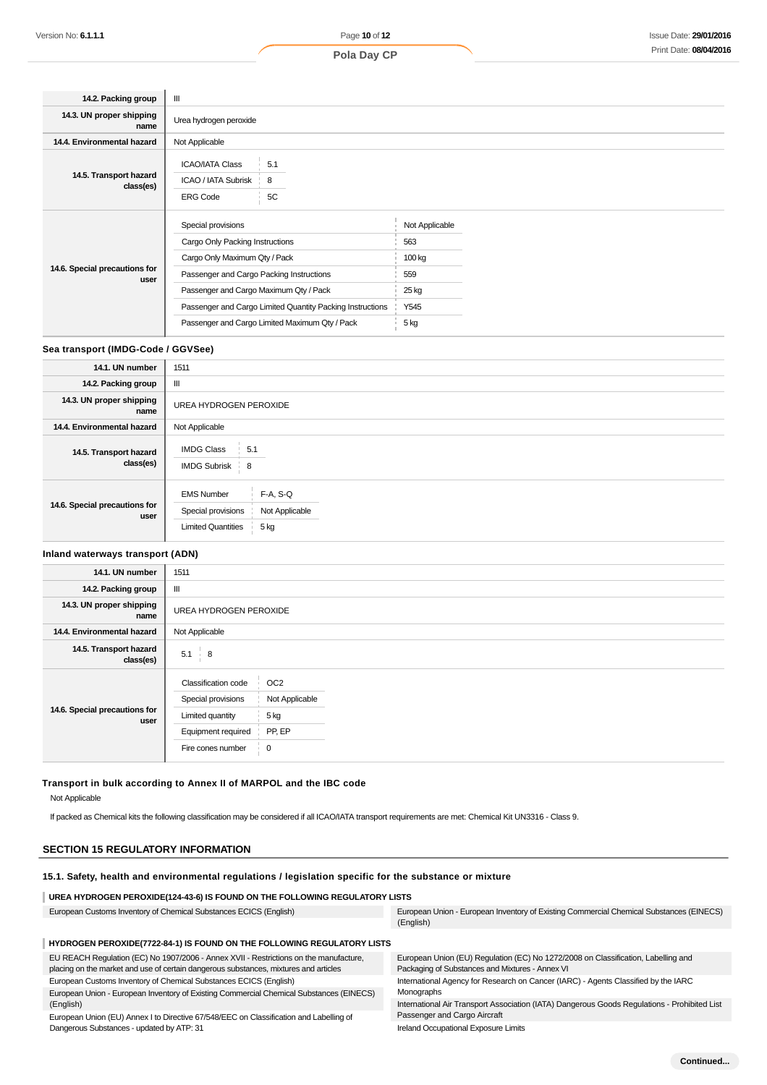| 14.2. Packing group                   | Ш                                                                                                                                                                                                                                                                                           |                                                                 |
|---------------------------------------|---------------------------------------------------------------------------------------------------------------------------------------------------------------------------------------------------------------------------------------------------------------------------------------------|-----------------------------------------------------------------|
| 14.3. UN proper shipping<br>name      | Urea hydrogen peroxide                                                                                                                                                                                                                                                                      |                                                                 |
| 14.4. Environmental hazard            | Not Applicable                                                                                                                                                                                                                                                                              |                                                                 |
| 14.5. Transport hazard<br>class(es)   | <b>ICAO/IATA Class</b><br>5.1<br>ICAO / IATA Subrisk<br>8<br>5C<br><b>ERG Code</b>                                                                                                                                                                                                          |                                                                 |
| 14.6. Special precautions for<br>user | Special provisions<br>Cargo Only Packing Instructions<br>Cargo Only Maximum Qty / Pack<br>Passenger and Cargo Packing Instructions<br>Passenger and Cargo Maximum Qty / Pack<br>Passenger and Cargo Limited Quantity Packing Instructions<br>Passenger and Cargo Limited Maximum Qty / Pack | Not Applicable<br>563<br>100 kg<br>559<br>25 kg<br>Y545<br>5 kg |

#### **Sea transport (IMDG-Code / GGVSee)**

| 14.1. UN number                       | 1511                                                                                                         |
|---------------------------------------|--------------------------------------------------------------------------------------------------------------|
| 14.2. Packing group                   | Ш                                                                                                            |
| 14.3. UN proper shipping<br>name      | UREA HYDROGEN PEROXIDE                                                                                       |
| 14.4. Environmental hazard            | Not Applicable                                                                                               |
| 14.5. Transport hazard<br>class(es)   | <b>IMDG Class</b><br>5.1<br><b>IMDG Subrisk</b><br>$\frac{1}{2}$ 8                                           |
| 14.6. Special precautions for<br>user | $F-A, S-Q$<br><b>EMS Number</b><br>Special provisions<br>Not Applicable<br><b>Limited Quantities</b><br>5 kg |

### **Inland waterways transport (ADN)**

| 14.1. UN number                       | 1511                                                                                                                                                                        |  |  |
|---------------------------------------|-----------------------------------------------------------------------------------------------------------------------------------------------------------------------------|--|--|
| 14.2. Packing group                   | Ш                                                                                                                                                                           |  |  |
| 14.3. UN proper shipping<br>name      | UREA HYDROGEN PEROXIDE                                                                                                                                                      |  |  |
| 14.4. Environmental hazard            | Not Applicable                                                                                                                                                              |  |  |
| 14.5. Transport hazard<br>class(es)   | 5.1<br>$\overline{\phantom{0}}$ 8                                                                                                                                           |  |  |
| 14.6. Special precautions for<br>user | OC <sub>2</sub><br><b>Classification code</b><br>Special provisions<br>Not Applicable<br>5 kg<br>Limited quantity<br>PP, EP<br>Equipment required<br>Fire cones number<br>0 |  |  |

### **Transport in bulk according to Annex II of MARPOL and the IBC code**

Not Applicable

If packed as Chemical kits the following classification may be considered if all ICAO/IATA transport requirements are met: Chemical Kit UN3316 - Class 9.

#### **SECTION 15 REGULATORY INFORMATION**

#### **15.1. Safety, health and environmental regulations / legislation specific for the substance or mixture**

#### **UREA HYDROGEN PEROXIDE(124-43-6) IS FOUND ON THE FOLLOWING REGULATORY LISTS**

European Customs Inventory of Chemical Substances ECICS (English) European Union - European Inventory of Existing Commercial Chemical Substances (EINECS) (English)

#### **HYDROGEN PEROXIDE(7722-84-1) IS FOUND ON THE FOLLOWING REGULATORY LISTS**

EU REACH Regulation (EC) No 1907/2006 - Annex XVII - Restrictions on the manufacture, placing on the market and use of certain dangerous substances, mixtures and articles European Customs Inventory of Chemical Substances ECICS (English) European Union - European Inventory of Existing Commercial Chemical Substances (EINECS) (English) European Union (EU) Annex I to Directive 67/548/EEC on Classification and Labelling of Dangerous Substances - updated by ATP: 31 European Union (EU) Regulation (EC) No 1272/2008 on Classification, Labelling and Packaging of Substances and Mixtures - Annex VI International Agency for Research on Cancer (IARC) - Agents Classified by the IARC Monographs International Air Transport Association (IATA) Dangerous Goods Regulations - Prohibited List Passenger and Cargo Aircraft Ireland Occupational Exposure Limits

**Continued...**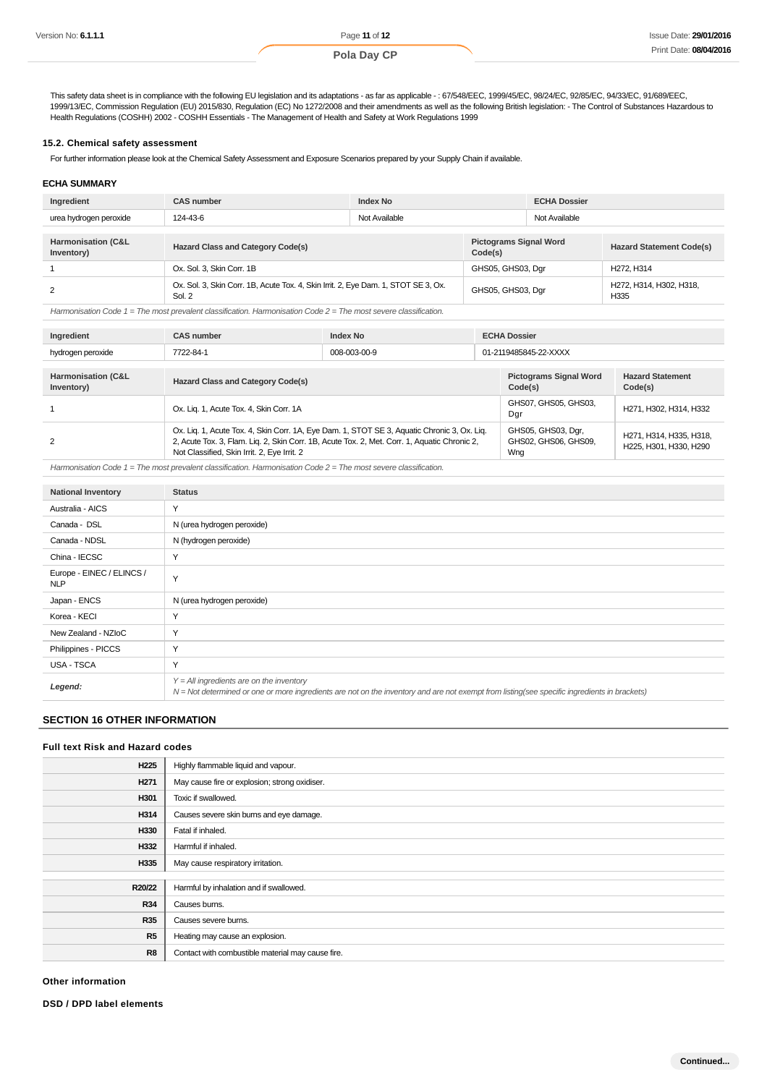This safety data sheet is in compliance with the following EU legislation and its adaptations - as far as applicable - : 67/548/EEC, 1999/45/EC, 98/24/EC, 92/85/EC, 94/33/EC, 91/689/EEC, 1999/13/EC, Commission Regulation (EU) 2015/830, Regulation (EC) No 1272/2008 and their amendments as well as the following British legislation: - The Control of Substances Hazardous to Health Regulations (COSHH) 2002 - COSHH Essentials - The Management of Health and Safety at Work Regulations 1999

#### **15.2. Chemical safety assessment**

For further information please look at the Chemical Safety Assessment and Exposure Scenarios prepared by your Supply Chain if available.

#### **ECHA SUMMARY**

| Ingredient                                  | <b>CAS number</b>                                                                            | <b>Index No</b> |                                          | <b>ECHA Dossier</b> |                                     |
|---------------------------------------------|----------------------------------------------------------------------------------------------|-----------------|------------------------------------------|---------------------|-------------------------------------|
| urea hydrogen peroxide                      | 124-43-6                                                                                     | Not Available   |                                          | Not Available       |                                     |
|                                             |                                                                                              |                 |                                          |                     |                                     |
| <b>Harmonisation (C&amp;L</b><br>Inventory) | <b>Hazard Class and Category Code(s)</b>                                                     |                 | <b>Pictograms Signal Word</b><br>Code(s) |                     | <b>Hazard Statement Code(s)</b>     |
|                                             | Ox. Sol. 3. Skin Corr. 1B                                                                    |                 | GHS05, GHS03, Dgr                        |                     | H <sub>272</sub> , H <sub>314</sub> |
|                                             | Ox. Sol. 3, Skin Corr. 1B, Acute Tox. 4, Skin Irrit. 2, Eye Dam. 1, STOT SE 3, Ox.<br>Sol. 2 |                 | GHS05, GHS03, Dgr                        |                     | H272, H314, H302, H318,<br>H335     |

Harmonisation Code 1 = The most prevalent classification. Harmonisation Code 2 = The most severe classification.

| Ingredient                       | <b>CAS number</b><br><b>Index No</b>                                                                                                                                                                                                       |  |                                                   | <b>ECHA Dossier</b>                               |  |  |
|----------------------------------|--------------------------------------------------------------------------------------------------------------------------------------------------------------------------------------------------------------------------------------------|--|---------------------------------------------------|---------------------------------------------------|--|--|
| hydrogen peroxide                | 7722-84-1<br>008-003-00-9                                                                                                                                                                                                                  |  |                                                   | 01-2119485845-22-XXXX                             |  |  |
|                                  |                                                                                                                                                                                                                                            |  |                                                   |                                                   |  |  |
| Harmonisation (C&L<br>Inventory) | <b>Hazard Class and Category Code(s)</b>                                                                                                                                                                                                   |  | <b>Pictograms Signal Word</b><br>Code(s)          | <b>Hazard Statement</b><br>Code(s)                |  |  |
|                                  | Ox. Lig. 1, Acute Tox. 4, Skin Corr. 1A                                                                                                                                                                                                    |  | GHS07, GHS05, GHS03,<br>Dgr                       | H271, H302, H314, H332                            |  |  |
| 2                                | Ox. Lig. 1, Acute Tox. 4, Skin Corr. 1A, Eye Dam. 1, STOT SE 3, Aquatic Chronic 3, Ox. Lig.<br>2, Acute Tox. 3, Flam. Liq. 2, Skin Corr. 1B, Acute Tox. 2, Met. Corr. 1, Aquatic Chronic 2,<br>Not Classified, Skin Irrit. 2, Eye Irrit. 2 |  | GHS05, GHS03, Dgr,<br>GHS02, GHS06, GHS09,<br>Wng | H271, H314, H335, H318,<br>H225, H301, H330, H290 |  |  |

Harmonisation Code  $1$  = The most prevalent classification. Harmonisation Code  $2$  = The most severe classification.

| <b>National Inventory</b>               | <b>Status</b>                                                                                                                                                                              |
|-----------------------------------------|--------------------------------------------------------------------------------------------------------------------------------------------------------------------------------------------|
| Australia - AICS                        | Y                                                                                                                                                                                          |
| Canada - DSL                            | N (urea hydrogen peroxide)                                                                                                                                                                 |
| Canada - NDSL                           | N (hydrogen peroxide)                                                                                                                                                                      |
| China - IECSC                           | Y                                                                                                                                                                                          |
| Europe - EINEC / ELINCS /<br><b>NLP</b> | Y                                                                                                                                                                                          |
| Japan - ENCS                            | N (urea hydrogen peroxide)                                                                                                                                                                 |
| Korea - KECI                            | Y                                                                                                                                                                                          |
| New Zealand - NZIoC                     | Y                                                                                                                                                                                          |
| Philippines - PICCS                     | Y                                                                                                                                                                                          |
| USA - TSCA                              | Y                                                                                                                                                                                          |
| Legend:                                 | $Y = All$ ingredients are on the inventory<br>N = Not determined or one or more ingredients are not on the inventory and are not exempt from listing(see specific ingredients in brackets) |

### **SECTION 16 OTHER INFORMATION**

#### **Full text Risk and Hazard codes**

| H <sub>225</sub> | Highly flammable liquid and vapour.               |
|------------------|---------------------------------------------------|
| H <sub>271</sub> | May cause fire or explosion; strong oxidiser.     |
| H301             | Toxic if swallowed.                               |
| H314             | Causes severe skin burns and eye damage.          |
| H330             | Fatal if inhaled.                                 |
| H332             | Harmful if inhaled.                               |
| H335             | May cause respiratory irritation.                 |
|                  |                                                   |
| R20/22           | Harmful by inhalation and if swallowed.           |
| <b>R34</b>       | Causes burns.                                     |
| <b>R35</b>       | Causes severe burns.                              |
| R5               | Heating may cause an explosion.                   |
| R8               | Contact with combustible material may cause fire. |

**Other information**

**DSD / DPD label elements**